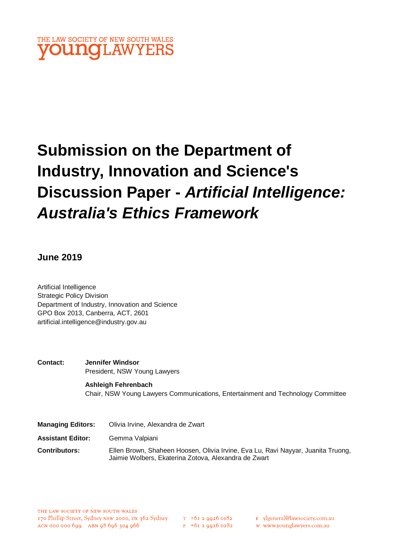

# **Submission on the Department of Industry, Innovation and Science's Discussion Paper -** *Artificial Intelligence: Australia's Ethics Framework*

## **June 2019**

Artificial Intelligence Strategic Policy Division Department of Industry, Innovation and Science GPO Box 2013, Canberra, ACT, 2601 artificial.intelligence@industry.gov.au

**Contact: Jennifer Windsor** President, NSW Young Lawyers

## **Ashleigh Fehrenbach**

Chair, NSW Young Lawyers Communications, Entertainment and Technology Committee

| <b>Managing Editors:</b> | Olivia Irvine, Alexandra de Zwart                                                                                                        |
|--------------------------|------------------------------------------------------------------------------------------------------------------------------------------|
| Assistant Editor:        | Gemma Valpiani                                                                                                                           |
| Contributors:            | Ellen Brown, Shaheen Hoosen, Olivia Irvine, Eva Lu, Ravi Nayyar, Juanita Truong,<br>Jaimie Wolbers, Ekaterina Zotova, Alexandra de Zwart |

w www.younglawyers.com.au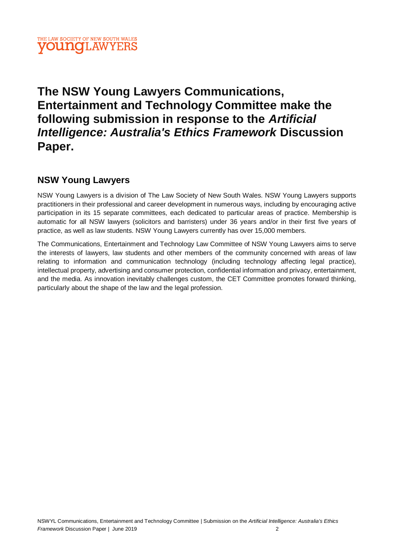## THE LAW SOCIETY OF NEW SOUTH WALES **OUNOLAW**

## **The NSW Young Lawyers Communications, Entertainment and Technology Committee make the following submission in response to the** *Artificial Intelligence: Australia's Ethics Framework* **Discussion Paper.**

## **NSW Young Lawyers**

NSW Young Lawyers is a division of The Law Society of New South Wales. NSW Young Lawyers supports practitioners in their professional and career development in numerous ways, including by encouraging active participation in its 15 separate committees, each dedicated to particular areas of practice. Membership is automatic for all NSW lawyers (solicitors and barristers) under 36 years and/or in their first five years of practice, as well as law students. NSW Young Lawyers currently has over 15,000 members.

The Communications, Entertainment and Technology Law Committee of NSW Young Lawyers aims to serve the interests of lawyers, law students and other members of the community concerned with areas of law relating to information and communication technology (including technology affecting legal practice), intellectual property, advertising and consumer protection, confidential information and privacy, entertainment, and the media. As innovation inevitably challenges custom, the CET Committee promotes forward thinking, particularly about the shape of the law and the legal profession.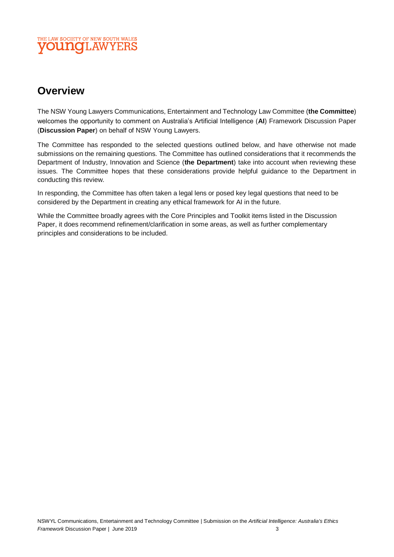## THE LAW SOCIETY OF NEW SOUTH WALES **OUINOLAW**

## **Overview**

The NSW Young Lawyers Communications, Entertainment and Technology Law Committee (**the Committee**) welcomes the opportunity to comment on Australia's Artificial Intelligence (**AI**) Framework Discussion Paper (**Discussion Paper**) on behalf of NSW Young Lawyers.

The Committee has responded to the selected questions outlined below, and have otherwise not made submissions on the remaining questions. The Committee has outlined considerations that it recommends the Department of Industry, Innovation and Science (**the Department**) take into account when reviewing these issues. The Committee hopes that these considerations provide helpful guidance to the Department in conducting this review.

In responding, the Committee has often taken a legal lens or posed key legal questions that need to be considered by the Department in creating any ethical framework for AI in the future.

While the Committee broadly agrees with the Core Principles and Toolkit items listed in the Discussion Paper, it does recommend refinement/clarification in some areas, as well as further complementary principles and considerations to be included.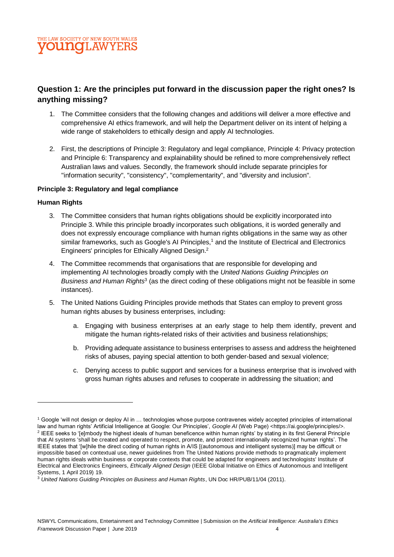## **Question 1: Are the principles put forward in the discussion paper the right ones? Is anything missing?**

- 1. The Committee considers that the following changes and additions will deliver a more effective and comprehensive AI ethics framework, and will help the Department deliver on its intent of helping a wide range of stakeholders to ethically design and apply AI technologies.
- 2. First, the descriptions of Principle 3: Regulatory and legal compliance, Principle 4: Privacy protection and Principle 6: Transparency and explainability should be refined to more comprehensively reflect Australian laws and values. Secondly, the framework should include separate principles for "information security", "consistency", "complementarity", and "diversity and inclusion".

## **Principle 3: Regulatory and legal compliance**

## **Human Rights**

- 3. The Committee considers that human rights obligations should be explicitly incorporated into Principle 3. While this principle broadly incorporates such obligations, it is worded generally and does not expressly encourage compliance with human rights obligations in the same way as other similar frameworks, such as Google's AI Principles,<sup>1</sup> and the Institute of Electrical and Electronics Engineers' principles for Ethically Aligned Design. 2
- 4. The Committee recommends that organisations that are responsible for developing and implementing AI technologies broadly comply with the *United Nations Guiding Principles on Business and Human Rights*<sup>3</sup> (as the direct coding of these obligations might not be feasible in some instances).
- 5. The United Nations Guiding Principles provide methods that States can employ to prevent gross human rights abuses by business enterprises, including:
	- a. Engaging with business enterprises at an early stage to help them identify, prevent and mitigate the human rights-related risks of their activities and business relationships;
	- b. Providing adequate assistance to business enterprises to assess and address the heightened risks of abuses, paying special attention to both gender-based and sexual violence;
	- c. Denying access to public support and services for a business enterprise that is involved with gross human rights abuses and refuses to cooperate in addressing the situation; and

<sup>1</sup> Google 'will not design or deploy AI in … technologies whose purpose contravenes widely accepted principles of international law and human rights' Artificial Intelligence at Google: Our Principles', *Google AI* (Web Page) <https://ai.google/principles/>. 2 IEEE seeks to '[e]mbody the highest ideals of human beneficence within human rights' by stating in its first General Principle that AI systems 'shall be created and operated to respect, promote, and protect internationally recognized human rights'. The IEEE states that '[w]hile the direct coding of human rights in A/IS [(autonomous and intelligent systems)] may be difficult or impossible based on contextual use, newer guidelines from The United Nations provide methods to pragmatically implement human rights ideals within business or corporate contexts that could be adapted for engineers and technologists' Institute of Electrical and Electronics Engineers, *Ethically Aligned Design* (IEEE Global Initiative on Ethics of Autonomous and Intelligent Systems, 1 April 2019) 19.

<sup>3</sup> *United Nations Guiding Principles on Business and Human Rights*, UN Doc HR/PUB/11/04 (2011).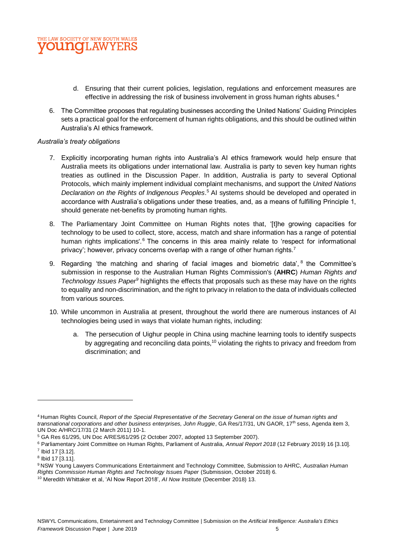

- d. Ensuring that their current policies, legislation, regulations and enforcement measures are effective in addressing the risk of business involvement in gross human rights abuses.<sup>4</sup>
- 6. The Committee proposes that regulating businesses according the United Nations' Guiding Principles sets a practical goal for the enforcement of human rights obligations, and this should be outlined within Australia's AI ethics framework.

## *Australia's treaty obligations*

- 7. Explicitly incorporating human rights into Australia's AI ethics framework would help ensure that Australia meets its obligations under international law. Australia is party to seven key human rights treaties as outlined in the Discussion Paper. In addition, Australia is party to several Optional Protocols, which mainly implement individual complaint mechanisms, and support the *United Nations Declaration on the Rights of Indigenous Peoples*. <sup>5</sup> AI systems should be developed and operated in accordance with Australia's obligations under these treaties, and, as a means of fulfilling Principle 1, should generate net-benefits by promoting human rights.
- 8. The Parliamentary Joint Committee on Human Rights notes that, '[t]he growing capacities for technology to be used to collect, store, access, match and share information has a range of potential human rights implications'.<sup>6</sup> The concerns in this area mainly relate to 'respect for informational privacy'; however, privacy concerns overlap with a range of other human rights.<sup>7</sup>
- 9. Regarding 'the matching and sharing of facial images and biometric data', <sup>8</sup> the Committee's submission in response to the Australian Human Rights Commission's (**AHRC**) *Human Rights and Technology Issues Paper<sup>9</sup>* highlights the effects that proposals such as these may have on the rights to equality and non-discrimination, and the right to privacy in relation to the data of individuals collected from various sources.
- 10. While uncommon in Australia at present, throughout the world there are numerous instances of AI technologies being used in ways that violate human rights, including:
	- a. The persecution of Uighur people in China using machine learning tools to identify suspects by aggregating and reconciling data points, $10$  violating the rights to privacy and freedom from discrimination; and

<sup>9</sup> NSW Young Lawyers Communications Entertainment and Technology Committee, Submission to AHRC, *Australian Human Rights Commission Human Rights and Technology Issues Paper* (Submission, October 2018) 6.

<sup>4</sup> Human Rights Council, *Report of the Special Representative of the Secretary General on the issue of human rights and transnational corporations and other business enterprises, John Ruggie, GA Res/17/31, UN GAOR, 17<sup>th</sup> sess, Agenda item 3,* UN Doc A/HRC/17/31 (2 March 2011) 10-1.

<sup>5</sup> GA Res 61/295, UN Doc A/RES/61/295 (2 October 2007, adopted 13 September 2007).

<sup>6</sup> Parliamentary Joint Committee on Human Rights, Parliament of Australia, *Annual Report 2018* (12 February 2019) 16 [3.10]. 7 Ibid 17 [3.12].

<sup>8</sup> Ibid 17 [3.11].

<sup>10</sup> Meredith Whittaker et al, 'AI Now Report 2018', *AI Now Institute* (December 2018) 13.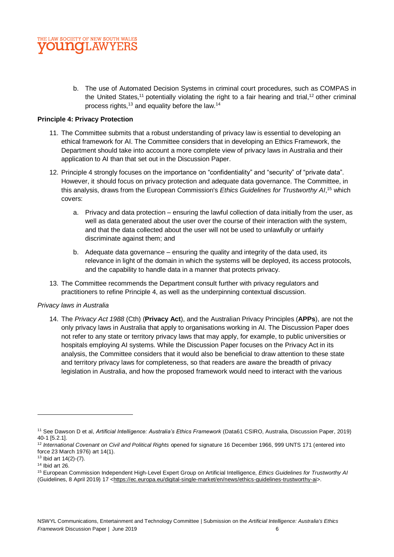

b. The use of Automated Decision Systems in criminal court procedures, such as COMPAS in the United States,<sup>11</sup> potentially violating the right to a fair hearing and trial,<sup>12</sup> other criminal process rights,<sup>13</sup> and equality before the law.<sup>14</sup>

## **Principle 4: Privacy Protection**

- 11. The Committee submits that a robust understanding of privacy law is essential to developing an ethical framework for AI. The Committee considers that in developing an Ethics Framework, the Department should take into account a more complete view of privacy laws in Australia and their application to AI than that set out in the Discussion Paper.
- 12. Principle 4 strongly focuses on the importance on "confidentiality" and "security" of "private data". However, it should focus on privacy protection and adequate data governance. The Committee, in this analysis, draws from the European Commission's *Ethics Guidelines for Trustworthy AI*, <sup>15</sup> which covers:
	- a. Privacy and data protection ensuring the lawful collection of data initially from the user, as well as data generated about the user over the course of their interaction with the system, and that the data collected about the user will not be used to unlawfully or unfairly discriminate against them; and
	- b. Adequate data governance ensuring the quality and integrity of the data used, its relevance in light of the domain in which the systems will be deployed, its access protocols, and the capability to handle data in a manner that protects privacy.
- 13. The Committee recommends the Department consult further with privacy regulators and practitioners to refine Principle 4, as well as the underpinning contextual discussion.

## *Privacy laws in Australia*

14. The *Privacy Act 1988* (Cth) (**Privacy Act**), and the Australian Privacy Principles (**APPs**), are not the only privacy laws in Australia that apply to organisations working in AI. The Discussion Paper does not refer to any state or territory privacy laws that may apply, for example, to public universities or hospitals employing AI systems. While the Discussion Paper focuses on the Privacy Act in its analysis, the Committee considers that it would also be beneficial to draw attention to these state and territory privacy laws for completeness, so that readers are aware the breadth of privacy legislation in Australia, and how the proposed framework would need to interact with the various

<sup>11</sup> See Dawson D et al, *Artificial Intelligence: Australia's Ethics Framework* (Data61 CSIRO, Australia, Discussion Paper, 2019) 40-1 [5.2.1].

<sup>&</sup>lt;sup>12</sup> International Covenant on Civil and Political Rights opened for signature 16 December 1966, 999 UNTS 171 (entered into force 23 March 1976) art 14(1).

<sup>13</sup> Ibid art 14(2)-(7).

 $14$  Ibid art 26.

<sup>15</sup> European Commission Independent High-Level Expert Group on Artificial Intelligence, *Ethics Guidelines for Trustworthy AI* (Guidelines, 8 April 2019) 17 [<https://ec.europa.eu/digital-single-market/en/news/ethics-guidelines-trustworthy-ai>](https://ec.europa.eu/digital-single-market/en/news/ethics-guidelines-trustworthy-ai).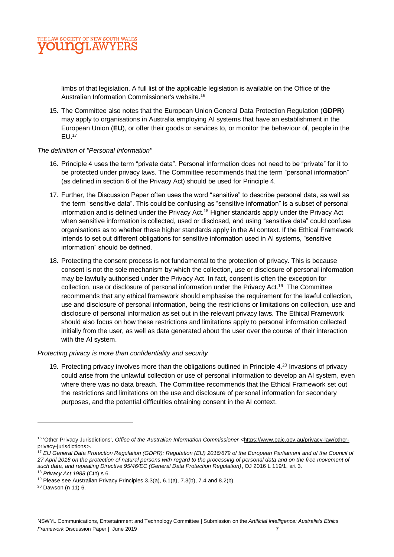

limbs of that legislation. A full list of the applicable legislation is available on the Office of the Australian Information Commissioner's website.<sup>16</sup>

15. The Committee also notes that the European Union General Data Protection Regulation (**GDPR**) may apply to organisations in Australia employing AI systems that have an establishment in the European Union (**EU**), or offer their goods or services to, or monitor the behaviour of, people in the EU.<sup>17</sup>

## *The definition of "Personal Information"*

- 16. Principle 4 uses the term "private data". Personal information does not need to be "private" for it to be protected under privacy laws. The Committee recommends that the term "personal information" (as defined in section 6 of the Privacy Act) should be used for Principle 4.
- 17. Further, the Discussion Paper often uses the word "sensitive" to describe personal data, as well as the term "sensitive data". This could be confusing as "sensitive information" is a subset of personal information and is defined under the Privacy Act.<sup>18</sup> Higher standards apply under the Privacy Act when sensitive information is collected, used or disclosed, and using "sensitive data" could confuse organisations as to whether these higher standards apply in the AI context. If the Ethical Framework intends to set out different obligations for sensitive information used in AI systems, "sensitive information" should be defined.
- 18. Protecting the consent process is not fundamental to the protection of privacy. This is because consent is not the sole mechanism by which the collection, use or disclosure of personal information may be lawfully authorised under the Privacy Act. In fact, consent is often the exception for collection, use or disclosure of personal information under the Privacy Act.<sup>19</sup> The Committee recommends that any ethical framework should emphasise the requirement for the lawful collection, use and disclosure of personal information, being the restrictions or limitations on collection, use and disclosure of personal information as set out in the relevant privacy laws. The Ethical Framework should also focus on how these restrictions and limitations apply to personal information collected initially from the user, as well as data generated about the user over the course of their interaction with the AI system.

## *Protecting privacy is more than confidentiality and security*

19. Protecting privacy involves more than the obligations outlined in Principle 4.<sup>20</sup> Invasions of privacy could arise from the unlawful collection or use of personal information to develop an AI system, even where there was no data breach. The Committee recommends that the Ethical Framework set out the restrictions and limitations on the use and disclosure of personal information for secondary purposes, and the potential difficulties obtaining consent in the AI context.

<sup>16</sup> 'Other Privacy Jurisdictions', *Office of the Australian Information Commissioner* [<https://www.oaic.gov.au/privacy-law/other](https://www.oaic.gov.au/privacy-law/other-privacy-jurisdictions)[privacy-jurisdictions>](https://www.oaic.gov.au/privacy-law/other-privacy-jurisdictions).

<sup>&</sup>lt;sup>17</sup> EU General Data Protection Regulation (GDPR): Regulation (EU) 2016/679 of the European Parliament and of the Council of *27 April 2016 on the protection of natural persons with regard to the processing of personal data and on the free movement of such data, and repealing Directive 95/46/EC (General Data Protection Regulation)*, OJ 2016 L 119/1, art 3. <sup>18</sup> *Privacy Act 1988* (Cth) s 6.

 $19$  Please see Australian Privacy Principles 3.3(a), 6.1(a), 7.3(b), 7.4 and 8.2(b).

<sup>20</sup> Dawson (n 11) 6.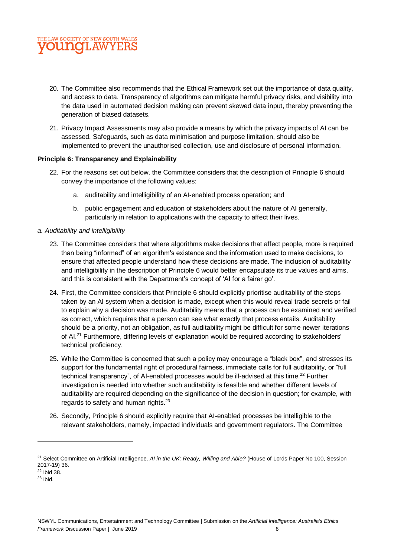

- 20. The Committee also recommends that the Ethical Framework set out the importance of data quality, and access to data. Transparency of algorithms can mitigate harmful privacy risks, and visibility into the data used in automated decision making can prevent skewed data input, thereby preventing the generation of biased datasets.
- 21. Privacy Impact Assessments may also provide a means by which the privacy impacts of AI can be assessed. Safeguards, such as data minimisation and purpose limitation, should also be implemented to prevent the unauthorised collection, use and disclosure of personal information.

## **Principle 6: Transparency and Explainability**

- 22. For the reasons set out below, the Committee considers that the description of Principle 6 should convey the importance of the following values:
	- a. auditability and intelligibility of an AI-enabled process operation; and
	- b. public engagement and education of stakeholders about the nature of AI generally, particularly in relation to applications with the capacity to affect their lives.

## *a. Auditability and intelligibility*

- 23. The Committee considers that where algorithms make decisions that affect people, more is required than being "informed" of an algorithm's existence and the information used to make decisions, to ensure that affected people understand how these decisions are made. The inclusion of auditability and intelligibility in the description of Principle 6 would better encapsulate its true values and aims, and this is consistent with the Department's concept of 'AI for a fairer go'.
- 24. First, the Committee considers that Principle 6 should explicitly prioritise auditability of the steps taken by an AI system when a decision is made, except when this would reveal trade secrets or fail to explain why a decision was made. Auditability means that a process can be examined and verified as correct, which requires that a person can see what exactly that process entails. Auditability should be a priority, not an obligation, as full auditability might be difficult for some newer iterations of AI.<sup>21</sup> Furthermore, differing levels of explanation would be required according to stakeholders' technical proficiency.
- 25. While the Committee is concerned that such a policy may encourage a "black box", and stresses its support for the fundamental right of procedural fairness, immediate calls for full auditability, or "full technical transparency", of AI-enabled processes would be ill-advised at this time.<sup>22</sup> Further investigation is needed into whether such auditability is feasible and whether different levels of auditability are required depending on the significance of the decision in question; for example, with regards to safety and human rights.<sup>23</sup>
- 26. Secondly, Principle 6 should explicitly require that AI-enabled processes be intelligible to the relevant stakeholders, namely, impacted individuals and government regulators. The Committee

<sup>21</sup> Select Committee on Artificial Intelligence, *AI in the UK: Ready, Willing and Able?* (House of Lords Paper No 100, Session 2017-19) 36.

<sup>22</sup> Ibid 38.

 $23$  Ibid.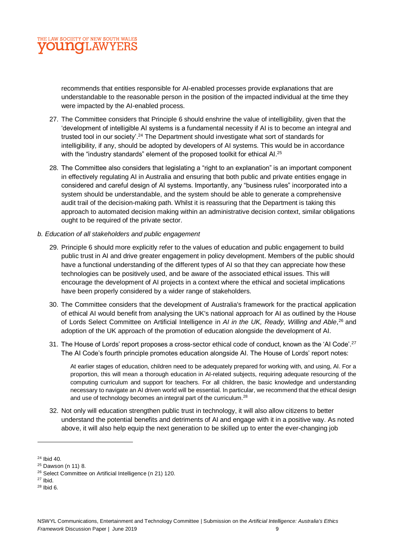

recommends that entities responsible for AI-enabled processes provide explanations that are understandable to the reasonable person in the position of the impacted individual at the time they were impacted by the AI-enabled process.

- 27. The Committee considers that Principle 6 should enshrine the value of intelligibility, given that the 'development of intelligible AI systems is a fundamental necessity if AI is to become an integral and trusted tool in our society'.<sup>24</sup> The Department should investigate what sort of standards for intelligibility, if any, should be adopted by developers of AI systems. This would be in accordance with the "industry standards" element of the proposed toolkit for ethical Al.<sup>25</sup>
- 28. The Committee also considers that legislating a "right to an explanation" is an important component in effectively regulating AI in Australia and ensuring that both public and private entities engage in considered and careful design of AI systems. Importantly, any "business rules" incorporated into a system should be understandable, and the system should be able to generate a comprehensive audit trail of the decision-making path. Whilst it is reassuring that the Department is taking this approach to automated decision making within an administrative decision context, similar obligations ought to be required of the private sector.
- *b. Education of all stakeholders and public engagement*
	- 29. Principle 6 should more explicitly refer to the values of education and public engagement to build public trust in AI and drive greater engagement in policy development. Members of the public should have a functional understanding of the different types of AI so that they can appreciate how these technologies can be positively used, and be aware of the associated ethical issues. This will encourage the development of AI projects in a context where the ethical and societal implications have been properly considered by a wider range of stakeholders.
	- 30. The Committee considers that the development of Australia's framework for the practical application of ethical AI would benefit from analysing the UK's national approach for AI as outlined by the House of Lords Select Committee on Artificial Intelligence in *AI in the UK, Ready, Willing and Able*, <sup>26</sup> and adoption of the UK approach of the promotion of education alongside the development of AI.
	- 31. The House of Lords' report proposes a cross-sector ethical code of conduct, known as the 'AI Code'.<sup>27</sup> The AI Code's fourth principle promotes education alongside AI. The House of Lords' report notes:

At earlier stages of education, children need to be adequately prepared for working with, and using, AI. For a proportion, this will mean a thorough education in AI-related subjects, requiring adequate resourcing of the computing curriculum and support for teachers. For all children, the basic knowledge and understanding necessary to navigate an AI driven world will be essential. In particular, we recommend that the ethical design and use of technology becomes an integral part of the curriculum.<sup>28</sup>

32. Not only will education strengthen public trust in technology, it will also allow citizens to better understand the potential benefits and detriments of AI and engage with it in a positive way. As noted above, it will also help equip the next generation to be skilled up to enter the ever-changing job

<sup>24</sup> Ibid 40.

<sup>25</sup> Dawson (n 11) 8.

<sup>26</sup> Select Committee on Artificial Intelligence (n 21) 120.

 $27$  Ibid.

<sup>28</sup> Ibid 6.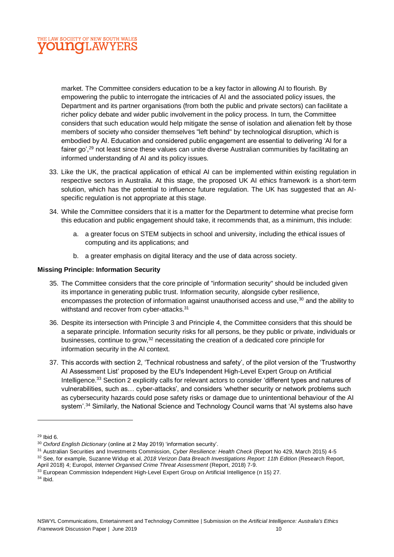

market. The Committee considers education to be a key factor in allowing AI to flourish. By empowering the public to interrogate the intricacies of AI and the associated policy issues, the Department and its partner organisations (from both the public and private sectors) can facilitate a richer policy debate and wider public involvement in the policy process. In turn, the Committee considers that such education would help mitigate the sense of isolation and alienation felt by those members of society who consider themselves "left behind" by technological disruption, which is embodied by AI. Education and considered public engagement are essential to delivering 'AI for a fairer go',<sup>29</sup> not least since these values can unite diverse Australian communities by facilitating an informed understanding of AI and its policy issues.

- 33. Like the UK, the practical application of ethical AI can be implemented within existing regulation in respective sectors in Australia. At this stage, the proposed UK AI ethics framework is a short-term solution, which has the potential to influence future regulation. The UK has suggested that an AIspecific regulation is not appropriate at this stage.
- 34. While the Committee considers that it is a matter for the Department to determine what precise form this education and public engagement should take, it recommends that, as a minimum, this include:
	- a. a greater focus on STEM subjects in school and university, including the ethical issues of computing and its applications; and
	- b. a greater emphasis on digital literacy and the use of data across society.

## **Missing Principle: Information Security**

- 35. The Committee considers that the core principle of "information security" should be included given its importance in generating public trust. Information security, alongside cyber resilience, encompasses the protection of information against unauthorised access and use.<sup>30</sup> and the ability to withstand and recover from cyber-attacks.<sup>31</sup>
- 36. Despite its intersection with Principle 3 and Principle 4, the Committee considers that this should be a separate principle. Information security risks for all persons, be they public or private, individuals or businesses, continue to grow,<sup>32</sup> necessitating the creation of a dedicated core principle for information security in the AI context.
- 37. This accords with section 2, 'Technical robustness and safety', of the pilot version of the 'Trustworthy AI Assessment List' proposed by the EU's Independent High-Level Expert Group on Artificial Intelligence.<sup>33</sup> Section 2 explicitly calls for relevant actors to consider 'different types and natures of vulnerabilities, such as… cyber-attacks', and considers 'whether security or network problems such as cybersecurity hazards could pose safety risks or damage due to unintentional behaviour of the AI system'.<sup>34</sup> Similarly, the National Science and Technology Council warns that 'AI systems also have

 $29$  Ibid 6.

<sup>30</sup> *Oxford English Dictionary* (online at 2 May 2019) 'information security'.

<sup>31</sup> Australian Securities and Investments Commission, *Cyber Resilience: Health Check* (Report No 429, March 2015) 4-5

<sup>32</sup> See, for example, Suzanne Widup et al, *2018 Verizon Data Breach Investigations Report: 11th Edition* (Research Report, April 2018) 4; Europol, *Internet Organised Crime Threat Assessment* (Report, 2018) 7-9.

<sup>&</sup>lt;sup>33</sup> European Commission Independent High-Level Expert Group on Artificial Intelligence (n 15) 27.

 $34$  Ibid.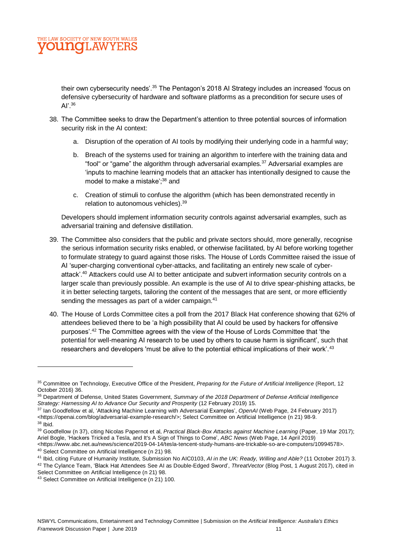

their own cybersecurity needs'.<sup>35</sup> The Pentagon's 2018 AI Strategy includes an increased 'focus on defensive cybersecurity of hardware and software platforms as a precondition for secure uses of AI'.<sup>36</sup>

- 38. The Committee seeks to draw the Department's attention to three potential sources of information security risk in the AI context:
	- a. Disruption of the operation of AI tools by modifying their underlying code in a harmful way;
	- b. Breach of the systems used for training an algorithm to interfere with the training data and "fool" or "game" the algorithm through adversarial examples.<sup>37</sup> Adversarial examples are 'inputs to machine learning models that an attacker has intentionally designed to cause the model to make a mistake';<sup>38</sup> and
	- c. Creation of stimuli to confuse the algorithm (which has been demonstrated recently in relation to autonomous vehicles).<sup>39</sup>

Developers should implement information security controls against adversarial examples, such as adversarial training and defensive distillation.

- 39. The Committee also considers that the public and private sectors should, more generally, recognise the serious information security risks enabled, or otherwise facilitated, by AI before working together to formulate strategy to guard against those risks. The House of Lords Committee raised the issue of AI 'super-charging conventional cyber-attacks, and facilitating an entirely new scale of cyberattack'.<sup>40</sup> Attackers could use AI to better anticipate and subvert information security controls on a larger scale than previously possible. An example is the use of AI to drive spear-phishing attacks, be it in better selecting targets, tailoring the content of the messages that are sent, or more efficiently sending the messages as part of a wider campaign.<sup>41</sup>
- 40. The House of Lords Committee cites a poll from the 2017 Black Hat conference showing that 62% of attendees believed there to be 'a high possibility that AI could be used by hackers for offensive purposes'.<sup>42</sup> The Committee agrees with the view of the House of Lords Committee that 'the potential for well-meaning AI research to be used by others to cause harm is significant', such that researchers and developers 'must be alive to the potential ethical implications of their work'.<sup>43</sup>

<sup>37</sup> Ian Goodfellow et al, 'Attacking Machine Learning with Adversarial Examples', *OpenAI* (Web Page, 24 February 2017) <https://openai.com/blog/adversarial-example-research/>; Select Committee on Artificial Intelligence (n 21) 98-9.  $38$  Ibid.

<sup>40</sup> Select Committee on Artificial Intelligence (n 21) 98.

<sup>35</sup> Committee on Technology, Executive Office of the President, *Preparing for the Future of Artificial Intelligence* (Report, 12 October 2016) 36.

<sup>36</sup> Department of Defense, United States Government, *Summary of the 2018 Department of Defense Artificial Intelligence Strategy: Harnessing AI to Advance Our Security and Prosperity* (12 February 2019) 15.

<sup>39</sup> Goodfellow (n 37), citing Nicolas Papernot et al, *Practical Black-Box Attacks against Machine Learning* (Paper, 19 Mar 2017); Ariel Bogle, 'Hackers Tricked a Tesla, and It's A Sign of Things to Come', *ABC News* (Web Page, 14 April 2019) <https://www.abc.net.au/news/science/2019-04-14/tesla-tencent-study-humans-are-trickable-so-are-computers/10994578>.

<sup>41</sup> Ibid, citing Future of Humanity Institute, Submission No AIC0103, *AI in the UK: Ready, Willing and Able?* (11 October 2017) 3. <sup>42</sup> The Cylance Team, 'Black Hat Attendees See AI as Double-Edged Sword', *ThreatVector* (Blog Post, 1 August 2017), cited in Select Committee on Artificial Intelligence (n 21) 98.

<sup>43</sup> Select Committee on Artificial Intelligence (n 21) 100.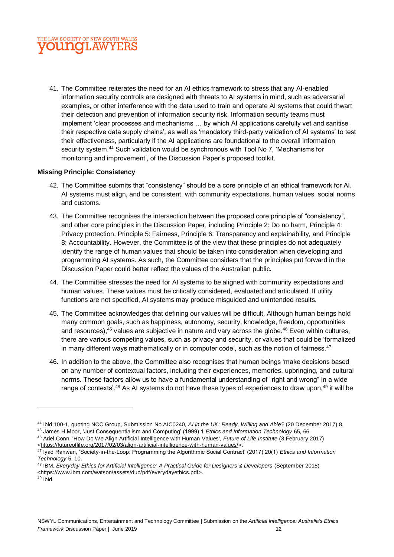

41. The Committee reiterates the need for an AI ethics framework to stress that any AI-enabled information security controls are designed with threats to AI systems in mind, such as adversarial examples, or other interference with the data used to train and operate AI systems that could thwart their detection and prevention of information security risk. Information security teams must implement 'clear processes and mechanisms … by which AI applications carefully vet and sanitise their respective data supply chains', as well as 'mandatory third-party validation of AI systems' to test their effectiveness, particularly if the AI applications are foundational to the overall information security system.<sup>44</sup> Such validation would be synchronous with Tool No 7, 'Mechanisms for monitoring and improvement', of the Discussion Paper's proposed toolkit.

## **Missing Principle: Consistency**

- 42. The Committee submits that "consistency" should be a core principle of an ethical framework for AI. AI systems must align, and be consistent, with community expectations, human values, social norms and customs.
- 43. The Committee recognises the intersection between the proposed core principle of "consistency", and other core principles in the Discussion Paper, including Principle 2: Do no harm, Principle 4: Privacy protection, Principle 5: Fairness, Principle 6: Transparency and explainability, and Principle 8: Accountability. However, the Committee is of the view that these principles do not adequately identify the range of human values that should be taken into consideration when developing and programming AI systems. As such, the Committee considers that the principles put forward in the Discussion Paper could better reflect the values of the Australian public.
- 44. The Committee stresses the need for AI systems to be aligned with community expectations and human values. These values must be critically considered, evaluated and articulated. If utility functions are not specified, AI systems may produce misguided and unintended results.
- 45. The Committee acknowledges that defining our values will be difficult. Although human beings hold many common goals, such as happiness, autonomy, security, knowledge, freedom, opportunities and resources),  $45$  values are subjective in nature and vary across the globe.  $46$  Even within cultures, there are various competing values, such as privacy and security, or values that could be 'formalized in many different ways mathematically or in computer code', such as the notion of fairness.<sup>47</sup>
- 46. In addition to the above, the Committee also recognises that human beings 'make decisions based on any number of contextual factors, including their experiences, memories, upbringing, and cultural norms. These factors allow us to have a fundamental understanding of "right and wrong" in a wide range of contexts'.<sup>48</sup> As AI systems do not have these types of experiences to draw upon,<sup>49</sup> it will be

<sup>44</sup> Ibid 100-1, quoting NCC Group, Submission No AIC0240, *AI in the UK: Ready, Willing and Able?* (20 December 2017) 8. <sup>45</sup> James H Moor, 'Just Consequentialism and Computing' (1999) 1 *Ethics and Information Technology* 65, 66.

<sup>46</sup> Ariel Conn, 'How Do We Align Artificial Intelligence with Human Values', *Future of Life Institute* (3 February 2017) [<https://futureoflife.org/2017/02/03/align-artificial-intelligence-with-human-values/>](https://futureoflife.org/2017/02/03/align-artificial-intelligence-with-human-values/).

<sup>47</sup> Iyad Rahwan, 'Society-in-the-Loop: Programming the Algorithmic Social Contract' (2017) 20(1) *Ethics and Information Technology* 5, 10.

<sup>48</sup> IBM, *Everyday Ethics for Artificial Intelligence: A Practical Guide for Designers & Developers* (September 2018) <https://www.ibm.com/watson/assets/duo/pdf/everydayethics.pdf>.

 $49$  Ibid.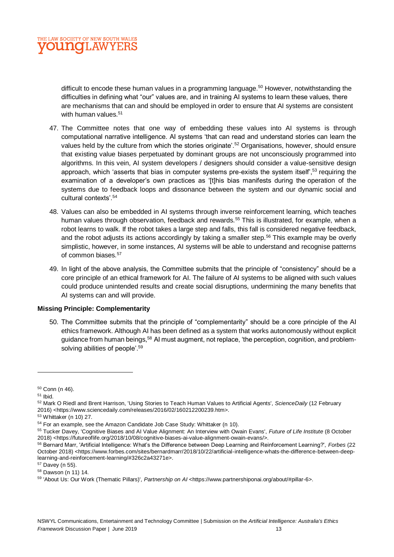

difficult to encode these human values in a programming language.<sup>50</sup> However, notwithstanding the difficulties in defining what "our" values are, and in training AI systems to learn these values, there are mechanisms that can and should be employed in order to ensure that AI systems are consistent with human values.<sup>51</sup>

- 47. The Committee notes that one way of embedding these values into AI systems is through computational narrative intelligence. AI systems 'that can read and understand stories can learn the values held by the culture from which the stories originate'.<sup>52</sup> Organisations, however, should ensure that existing value biases perpetuated by dominant groups are not unconsciously programmed into algorithms. In this vein, AI system developers / designers should consider a value-sensitive design approach, which 'asserts that bias in computer systems pre-exists the system itself'.<sup>53</sup> requiring the examination of a developer's own practices as '[t]his bias manifests during the operation of the systems due to feedback loops and dissonance between the system and our dynamic social and cultural contexts'.<sup>54</sup>
- 48. Values can also be embedded in AI systems through inverse reinforcement learning, which teaches human values through observation, feedback and rewards.<sup>55</sup> This is illustrated, for example, when a robot learns to walk. If the robot takes a large step and falls, this fall is considered negative feedback, and the robot adjusts its actions accordingly by taking a smaller step.<sup>56</sup> This example may be overly simplistic, however, in some instances, AI systems will be able to understand and recognise patterns of common biases.<sup>57</sup>
- 49. In light of the above analysis, the Committee submits that the principle of "consistency" should be a core principle of an ethical framework for AI. The failure of AI systems to be aligned with such values could produce unintended results and create social disruptions, undermining the many benefits that AI systems can and will provide.

## **Missing Principle: Complementarity**

50. The Committee submits that the principle of "complementarity" should be a core principle of the AI ethics framework. Although AI has been defined as a system that works autonomously without explicit guidance from human beings,<sup>58</sup> AI must augment, not replace, 'the perception, cognition, and problemsolving abilities of people'.<sup>59</sup>

<sup>50</sup> Conn (n 46).

 $51$  Ihid.

<sup>52</sup> Mark O Riedl and Brent Harrison, 'Using Stories to Teach Human Values to Artificial Agents', *ScienceDaily* (12 February 2016) <https://www.sciencedaily.com/releases/2016/02/160212200239.htm>.

<sup>53</sup> Whittaker (n 10) 27.

<sup>54</sup> For an example, see the Amazon Candidate Job Case Study: Whittaker (n 10).

<sup>55</sup> Tucker Davey, 'Cognitive Biases and AI Value Alignment: An Interview with Owain Evans', *Future of Life Institute* (8 October 2018) <https://futureoflife.org/2018/10/08/cognitive-biases-ai-value-alignment-owain-evans/>.

<sup>56</sup> Bernard Marr, 'Artificial Intelligence: What's the Difference between Deep Learning and Reinforcement Learning?', *Forbes* (22 October 2018) <https://www.forbes.com/sites/bernardmarr/2018/10/22/artificial-intelligence-whats-the-difference-between-deeplearning-and-reinforcement-learning/#326c2a43271e>.

<sup>57</sup> Davey (n 55).

<sup>58</sup> Dawson (n 11) 14.

<sup>59</sup> 'About Us: Our Work (Thematic Pillars)'*, Partnership on AI* <https://www.partnershiponai.org/about/#pillar-6>.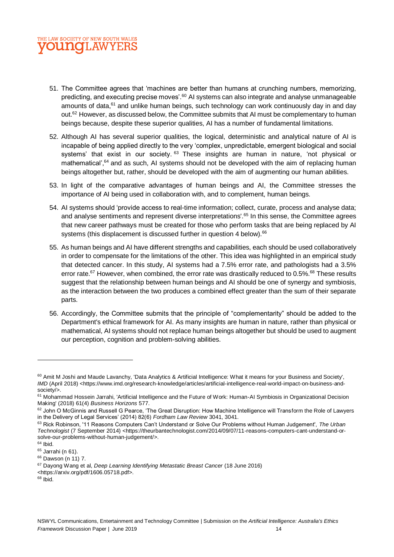

- 51. The Committee agrees that 'machines are better than humans at crunching numbers, memorizing, predicting, and executing precise moves'.<sup>60</sup> AI systems can also integrate and analyse unmanageable amounts of data, <sup>61</sup> and unlike human beings, such technology can work continuously day in and day out.<sup>62</sup> However, as discussed below, the Committee submits that AI must be complementary to human beings because, despite these superior qualities, AI has a number of fundamental limitations.
- 52. Although AI has several superior qualities, the logical, deterministic and analytical nature of AI is incapable of being applied directly to the very 'complex, unpredictable, emergent biological and social systems' that exist in our society. <sup>63</sup> These insights are human in nature, 'not physical or mathematical',<sup>64</sup> and as such, AI systems should not be developed with the aim of replacing human beings altogether but, rather, should be developed with the aim of augmenting our human abilities.
- 53. In light of the comparative advantages of human beings and AI, the Committee stresses the importance of AI being used in collaboration with, and to complement, human beings.
- 54. AI systems should 'provide access to real-time information; collect, curate, process and analyse data; and analyse sentiments and represent diverse interpretations'.<sup>65</sup> In this sense, the Committee agrees that new career pathways must be created for those who perform tasks that are being replaced by AI systems (this displacement is discussed further in question 4 below).<sup>66</sup>
- 55. As human beings and AI have different strengths and capabilities, each should be used collaboratively in order to compensate for the limitations of the other. This idea was highlighted in an empirical study that detected cancer. In this study, AI systems had a 7.5% error rate, and pathologists had a 3.5% error rate.<sup>67</sup> However, when combined, the error rate was drastically reduced to 0.5%.<sup>68</sup> These results suggest that the relationship between human beings and AI should be one of synergy and symbiosis, as the interaction between the two produces a combined effect greater than the sum of their separate parts.
- 56. Accordingly, the Committee submits that the principle of "complementarity" should be added to the Department's ethical framework for AI. As many insights are human in nature, rather than physical or mathematical, AI systems should not replace human beings altogether but should be used to augment our perception, cognition and problem-solving abilities.

<sup>&</sup>lt;sup>60</sup> Amit M Joshi and Maude Lavanchy, 'Data Analytics & Artificial Intelligence: What it means for your Business and Society', *IMD* (April 2018) <https://www.imd.org/research-knowledge/articles/artificial-intelligence-real-world-impact-on-business-andsociety/>.

<sup>&</sup>lt;sup>61</sup> Mohammad Hossein Jarrahi, 'Artificial Intelligence and the Future of Work: Human-AI Symbiosis in Organizational Decision Making' (2018) 61(4) *Business Horizons* 577.

<sup>62</sup> John O McGinnis and Russell G Pearce, 'The Great Disruption: How Machine Intelligence will Transform the Role of Lawyers in the Delivery of Legal Services' (2014) 82(6) *Fordham Law Review* 3041, 3041.

<sup>63</sup> Rick Robinson, '11 Reasons Computers Can't Understand or Solve Our Problems without Human Judgement', *The Urban Technologist* (7 September 2014) <https://theurbantechnologist.com/2014/09/07/11-reasons-computers-cant-understand-orsolve-our-problems-without-human-judgement/>.

 $64$  Ibid.

<sup>65</sup> Jarrahi (n 61).

<sup>66</sup> Dawson (n 11) 7.

<sup>67</sup> Dayong Wang et al, *Deep Learning Identifying Metastatic Breast Cancer* (18 June 2016)

<sup>&</sup>lt;https://arxiv.org/pdf/1606.05718.pdf>.

 $68$  Ibid.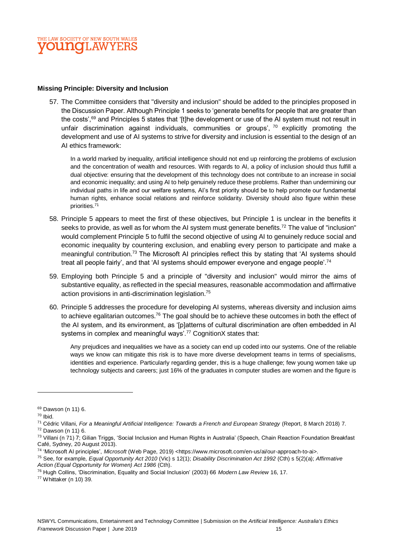

## **Missing Principle: Diversity and Inclusion**

57. The Committee considers that "diversity and inclusion" should be added to the principles proposed in the Discussion Paper. Although Principle 1 seeks to 'generate benefits for people that are greater than the costs',<sup>69</sup> and Principles 5 states that '[t]he development or use of the AI system must not result in unfair discrimination against individuals, communities or groups',  $70$  explicitly promoting the development and use of AI systems to strive for diversity and inclusion is essential to the design of an AI ethics framework:

In a world marked by inequality, artificial intelligence should not end up reinforcing the problems of exclusion and the concentration of wealth and resources. With regards to AI, a policy of inclusion should thus fulfill a dual objective: ensuring that the development of this technology does not contribute to an increase in social and economic inequality; and using AI to help genuinely reduce these problems. Rather than undermining our individual paths in life and our welfare systems, AI's first priority should be to help promote our fundamental human rights, enhance social relations and reinforce solidarity. Diversity should also figure within these priorities.<sup>71</sup>

- 58. Principle 5 appears to meet the first of these objectives, but Principle 1 is unclear in the benefits it seeks to provide, as well as for whom the AI system must generate benefits.<sup>72</sup> The value of "inclusion" would complement Principle 5 to fulfil the second objective of using AI to genuinely reduce social and economic inequality by countering exclusion, and enabling every person to participate and make a meaningful contribution.<sup>73</sup> The Microsoft AI principles reflect this by stating that 'AI systems should treat all people fairly', and that 'AI systems should empower everyone and engage people'.<sup>74</sup>
- 59. Employing both Principle 5 and a principle of "diversity and inclusion" would mirror the aims of substantive equality, as reflected in the special measures, reasonable accommodation and affirmative action provisions in anti-discrimination legislation.<sup>75</sup>
- 60. Principle 5 addresses the procedure for developing AI systems, whereas diversity and inclusion aims to achieve egalitarian outcomes.<sup>76</sup> The goal should be to achieve these outcomes in both the effect of the AI system, and its environment, as '[p]atterns of cultural discrimination are often embedded in AI systems in complex and meaningful ways'.<sup>77</sup> CognitionX states that:

Any prejudices and inequalities we have as a society can end up coded into our systems. One of the reliable ways we know can mitigate this risk is to have more diverse development teams in terms of specialisms, identities and experience. Particularly regarding gender, this is a huge challenge; few young women take up technology subjects and careers; just 16% of the graduates in computer studies are women and the figure is

<sup>69</sup> Dawson (n 11) 6.

 $70$  Ibid.

<sup>71</sup> Cédric Villani, *For a Meaningful Artificial Intelligence: Towards a French and European Strategy* (Report, 8 March 2018) 7. <sup>72</sup> Dawson (n 11) 6.

<sup>&</sup>lt;sup>73</sup> Villani (n 71) 7; Gilian Triggs, 'Social Inclusion and Human Rights in Australia' (Speech, Chain Reaction Foundation Breakfast Café, Sydney, 20 August 2013).

<sup>74</sup> 'Microsoft AI principles', *Microsoft* (Web Page, 2019) <https://www.microsoft.com/en-us/ai/our-approach-to-ai>.

<sup>75</sup> See, for example, *Equal Opportunity Act 2010* (Vic) s 12(1); *Disability Discrimination Act 1992* (Cth) s 5(2)(a); *Affirmative Action (Equal Opportunity for Women) Act 1986* (Cth).

<sup>76</sup> Hugh Collins, 'Discrimination, Equality and Social Inclusion' (2003) 66 *Modern Law Review* 16, 17.

<sup>77</sup> Whittaker (n 10) 39.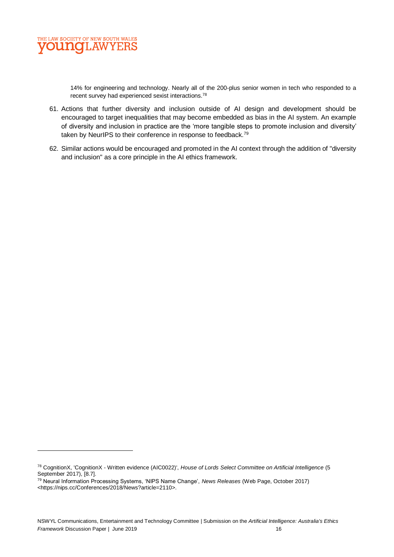

 $\overline{a}$ 

14% for engineering and technology. Nearly all of the 200-plus senior women in tech who responded to a recent survey had experienced sexist interactions.<sup>78</sup>

- 61. Actions that further diversity and inclusion outside of AI design and development should be encouraged to target inequalities that may become embedded as bias in the AI system. An example of diversity and inclusion in practice are the 'more tangible steps to promote inclusion and diversity' taken by NeurlPS to their conference in response to feedback.<sup>79</sup>
- 62. Similar actions would be encouraged and promoted in the AI context through the addition of "diversity and inclusion" as a core principle in the AI ethics framework.

<sup>78</sup> CognitionX, 'CognitionX - Written evidence (AIC0022)', *House of Lords Select Committee on Artificial Intelligence* (5 September 2017), [8.7].

<sup>79</sup> Neural Information Processing Systems, 'NIPS Name Change', *News Releases* (Web Page, October 2017) <https://nips.cc/Conferences/2018/News?article=2110>.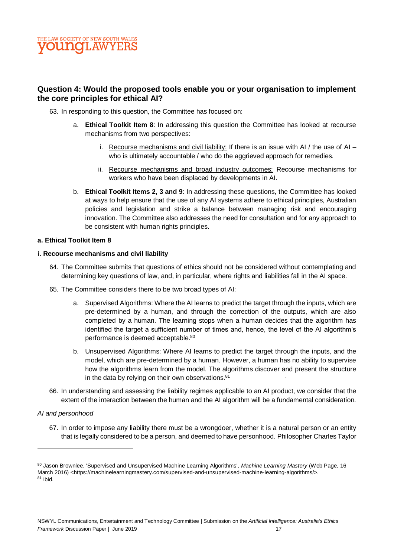

## **Question 4: Would the proposed tools enable you or your organisation to implement the core principles for ethical AI?**

- 63. In responding to this question, the Committee has focused on:
	- a. **Ethical Toolkit Item 8**: In addressing this question the Committee has looked at recourse mechanisms from two perspectives:
		- i. Recourse mechanisms and civil liability: If there is an issue with AI  $/$  the use of AI who is ultimately accountable / who do the aggrieved approach for remedies.
		- ii. Recourse mechanisms and broad industry outcomes: Recourse mechanisms for workers who have been displaced by developments in AI.
	- b. **Ethical Toolkit Items 2, 3 and 9**: In addressing these questions, the Committee has looked at ways to help ensure that the use of any AI systems adhere to ethical principles, Australian policies and legislation and strike a balance between managing risk and encouraging innovation. The Committee also addresses the need for consultation and for any approach to be consistent with human rights principles.

## **a. Ethical Toolkit Item 8**

## **i. Recourse mechanisms and civil liability**

- 64. The Committee submits that questions of ethics should not be considered without contemplating and determining key questions of law, and, in particular, where rights and liabilities fall in the AI space.
- 65. The Committee considers there to be two broad types of AI:
	- a. Supervised Algorithms: Where the AI learns to predict the target through the inputs, which are pre-determined by a human, and through the correction of the outputs, which are also completed by a human. The learning stops when a human decides that the algorithm has identified the target a sufficient number of times and, hence, the level of the AI algorithm's performance is deemed acceptable.<sup>80</sup>
	- b. Unsupervised Algorithms: Where AI learns to predict the target through the inputs, and the model, which are pre-determined by a human. However, a human has no ability to supervise how the algorithms learn from the model. The algorithms discover and present the structure in the data by relying on their own observations. $81$ .
- 66. In understanding and assessing the liability regimes applicable to an AI product, we consider that the extent of the interaction between the human and the AI algorithm will be a fundamental consideration.

## *AI and personhood*

67. In order to impose any liability there must be a wrongdoer, whether it is a natural person or an entity that is legally considered to be a person, and deemed to have personhood. Philosopher Charles Taylor

<sup>80</sup> Jason Brownlee, 'Supervised and Unsupervised Machine Learning Algorithms', Machine Learning Mastery (Web Page, 16 March 2016) [<https://machinelearningmastery.com/supervised-and-unsupervised-machine-learning-algorithms/>](https://machinelearningmastery.com/supervised-and-unsupervised-machine-learning-algorithms/).  $81$  lbid.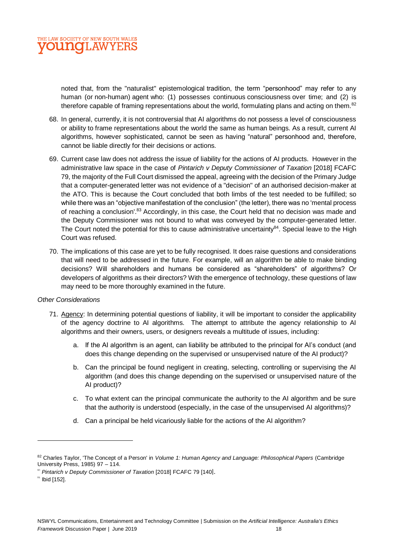

noted that, from the "naturalist" epistemological tradition, the term "personhood" may refer to any human (or [non-human\)](https://en.wikipedia.org/wiki/Non_human) [agent](https://en.wikipedia.org/wiki/Agency_(philosophy)) who: (1) possesses continuous [consciousness](https://en.wikipedia.org/wiki/Consciousness) over time; and (2) is therefore capable of framing representations about the world, formulating plans and acting on them.<sup>82</sup>

- 68. In general, currently, it is not controversial that AI algorithms do not possess a level of consciousness or ability to frame representations about the world the same as human beings. As a result, current AI algorithms, however sophisticated, cannot be seen as having "natural" personhood and, therefore, cannot be liable directly for their decisions or actions.
- 69. Current case law does not address the issue of liability for the actions of AI products. However in the administrative law space in the case of *Pintarich v Deputy Commissioner of Taxation* [2018] FCAFC 79, the majority of the Full Court dismissed the appeal, agreeing with the decision of the Primary Judge that a computer-generated letter was not evidence of a "decision" of an authorised decision-maker at the ATO. This is because the Court concluded that both limbs of the test needed to be fulfilled; so while there was an "objective manifestation of the conclusion" (the letter), there was no 'mental process of reaching a conclusion'.<sup>83</sup> Accordingly, in this case, the Court held that no decision was made and the Deputy Commissioner was not bound to what was conveyed by the computer-generated letter. The Court noted the potential for this to cause administrative uncertainty<sup>84</sup>. Special leave to the High Court was refused.
- 70. The implications of this case are yet to be fully recognised. It does raise questions and considerations that will need to be addressed in the future. For example, will an algorithm be able to make binding decisions? Will shareholders and humans be considered as "shareholders" of algorithms? Or developers of algorithms as their directors? With the emergence of technology, these questions of law may need to be more thoroughly examined in the future.

## *Other Considerations*

- 71. Agency: In determining potential questions of liability, it will be important to consider the applicability of the agency doctrine to AI algorithms. The attempt to attribute the agency relationship to AI algorithms and their owners, users, or designers reveals a multitude of issues, including:
	- a. If the AI algorithm is an agent, can liability be attributed to the principal for AI's conduct (and does this change depending on the supervised or unsupervised nature of the AI product)?
	- b. Can the principal be found negligent in creating, selecting, controlling or supervising the AI algorithm (and does this change depending on the supervised or unsupervised nature of the AI product)?
	- c. To what extent can the principal communicate the authority to the AI algorithm and be sure that the authority is understood (especially, in the case of the unsupervised AI algorithms)?
	- d. Can a principal be held vicariously liable for the actions of the AI algorithm?

<sup>82</sup> Charles Taylor, 'The Concept of a Person' in *Volume 1: Human Agency and Language: Philosophical Papers* (Cambridge University Press, 1985) 97 – 114.

<sup>83</sup> *Pintarich v Deputy Commissioner of Taxation* [2018] FCAFC 79 [140].

 $$^{84}$  Ibid [152].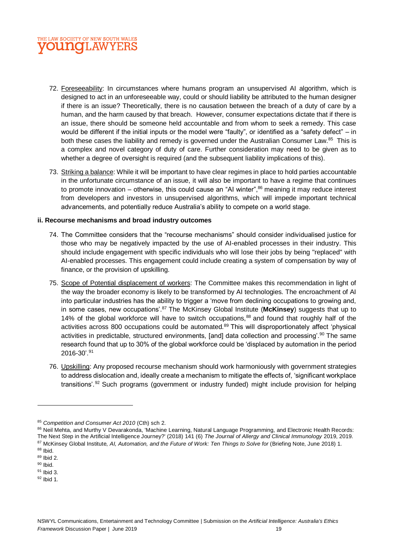

- 72. Foreseeability: In circumstances where humans program an unsupervised AI algorithm, which is designed to act in an unforeseeable way, could or should liability be attributed to the human designer if there is an issue? Theoretically, there is no causation between the breach of a duty of care by a human, and the harm caused by that breach. However, consumer expectations dictate that if there is an issue, there should be someone held accountable and from whom to seek a remedy. This case would be different if the initial inputs or the model were "faulty", or identified as a "safety defect" – in both these cases the liability and remedy is governed under the Australian Consumer Law.<sup>85</sup> This is a complex and novel category of duty of care. Further consideration may need to be given as to whether a degree of oversight is required (and the subsequent liability implications of this).
- 73. Striking a balance: While it will be important to have clear regimes in place to hold parties accountable in the unfortunate circumstance of an issue, it will also be important to have a regime that continues to promote innovation – otherwise, this could cause an "AI winter", $86$  meaning it may reduce interest from developers and investors in unsupervised algorithms, which will impede important technical advancements, and potentially reduce Australia's ability to compete on a world stage.

## **ii. Recourse mechanisms and broad industry outcomes**

- 74. The Committee considers that the "recourse mechanisms" should consider individualised justice for those who may be negatively impacted by the use of AI-enabled processes in their industry. This should include engagement with specific individuals who will lose their jobs by being "replaced" with AI-enabled processes. This engagement could include creating a system of compensation by way of finance, or the provision of upskilling.
- 75. Scope of Potential displacement of workers: The Committee makes this recommendation in light of the way the broader economy is likely to be transformed by AI technologies. The encroachment of AI into particular industries has the ability to trigger a 'move from declining occupations to growing and, in some cases, new occupations'.<sup>87</sup> The McKinsey Global Institute (**McKinsey**) suggests that up to 14% of the global workforce will have to switch occupations,<sup>88</sup> and found that roughly half of the activities across 800 occupations could be automated.<sup>89</sup> This will disproportionately affect 'physical activities in predictable, structured environments, [and] data collection and processing'.<sup>90</sup> The same research found that up to 30% of the global workforce could be 'displaced by automation in the period 2016-30'.<sup>91</sup>
- 76. Upskilling: Any proposed recourse mechanism should work harmoniously with government strategies to address dislocation and, ideally create a mechanism to mitigate the effects of, 'significant workplace transitions'.<sup>92</sup> Such programs (government or industry funded) might include provision for helping

 $92$  Ibid 1.

<sup>85</sup> *Competition and Consumer Act 2010* (Cth) sch 2.

<sup>86</sup> Neil Mehta, and Murthy V Devarakonda, 'Machine Learning, Natural Language Programming, and Electronic Health Records: The Next Step in the Artificial Intelligence Journey?' (2018) 141 (6) *The Journal of Allergy and Clinical Immunology* 2019, 2019. <sup>87</sup> McKinsey Global Institute, *AI, Automation, and the Future of Work: Ten Things to Solve for* (Briefing Note, June 2018) 1.

<sup>88</sup> Ibid.

<sup>89</sup> Ibid 2.  $90$  Ibid.

<sup>91</sup> Ibid 3.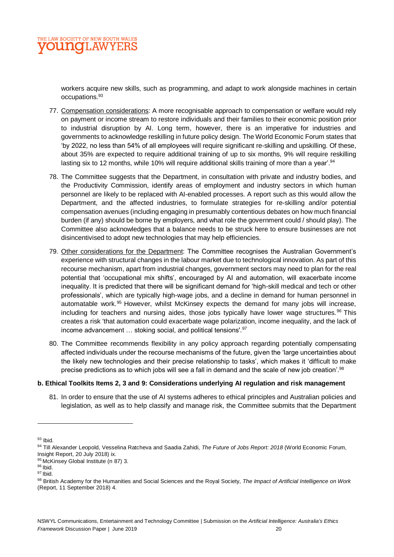

workers acquire new skills, such as programming, and adapt to work alongside machines in certain occupations.<sup>93</sup>

- 77. Compensation considerations: A more recognisable approach to compensation or welfare would rely on payment or income stream to restore individuals and their families to their economic position prior to industrial disruption by AI. Long term, however, there is an imperative for industries and governments to acknowledge reskilling in future policy design. The World Economic Forum states that 'by 2022, no less than 54% of all employees will require significant re-skilling and upskilling. Of these, about 35% are expected to require additional training of up to six months, 9% will require reskilling lasting six to 12 months, while 10% will require additional skills training of more than a year'.<sup>94</sup>
- 78. The Committee suggests that the Department, in consultation with private and industry bodies, and the Productivity Commission, identify areas of employment and industry sectors in which human personnel are likely to be replaced with AI-enabled processes. A report such as this would allow the Department, and the affected industries, to formulate strategies for re-skilling and/or potential compensation avenues (including engaging in presumably contentious debates on how much financial burden (if any) should be borne by employers, and what role the government could / should play). The Committee also acknowledges that a balance needs to be struck here to ensure businesses are not disincentivised to adopt new technologies that may help efficiencies.
- 79. Other considerations for the Department: The Committee recognises the Australian Government's experience with structural changes in the labour market due to technological innovation. As part of this recourse mechanism, apart from industrial changes, government sectors may need to plan for the real potential that 'occupational mix shifts', encouraged by AI and automation, will exacerbate income inequality. It is predicted that there will be significant demand for 'high-skill medical and tech or other professionals', which are typically high-wage jobs, and a decline in demand for human personnel in automatable work.<sup>95</sup> However, whilst McKinsey expects the demand for many jobs will increase, including for teachers and nursing aides, those jobs typically have lower wage structures. $96$  This creates a risk 'that automation could exacerbate wage polarization, income inequality, and the lack of income advancement … stoking social, and political tensions'.<sup>97</sup>
- 80. The Committee recommends flexibility in any policy approach regarding potentially compensating affected individuals under the recourse mechanisms of the future, given the 'large uncertainties about the likely new technologies and their precise relationship to tasks', which makes it 'difficult to make precise predictions as to which jobs will see a fall in demand and the scale of new job creation'.<sup>98</sup>

## **b. Ethical Toolkits Items 2, 3 and 9: Considerations underlying AI regulation and risk management**

81. In order to ensure that the use of AI systems adheres to ethical principles and Australian policies and legislation, as well as to help classify and manage risk, the Committee submits that the Department

 $93$  Ibid.

<sup>94</sup> Till Alexander Leopold, Vesselina Ratcheva and Saadia Zahidi, *The Future of Jobs Report: 2018* (World Economic Forum, Insight Report, 20 July 2018) ix.

<sup>95</sup> McKinsey Global Institute (n 87) 3.

<sup>96</sup> Ibid.

 $97$  Ibid.

<sup>98</sup> British Academy for the Humanities and Social Sciences and the Royal Society, *The Impact of Artificial Intelligence on Work* (Report, 11 September 2018) 4.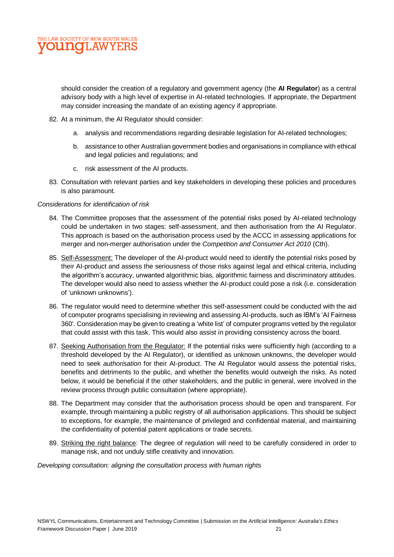

should consider the creation of a regulatory and government agency (the **AI Regulator**) as a central advisory body with a high level of expertise in AI-related technologies. If appropriate, the Department may consider increasing the mandate of an existing agency if appropriate.

- 82. At a minimum, the AI Regulator should consider:
	- a. analysis and recommendations regarding desirable legislation for AI-related technologies;
	- b. assistance to other Australian government bodies and organisations in compliance with ethical and legal policies and regulations; and
	- c. risk assessment of the AI products.
- 83. Consultation with relevant parties and key stakeholders in developing these policies and procedures is also paramount.

## *Considerations for identification of risk*

- 84. The Committee proposes that the assessment of the potential risks posed by AI-related technology could be undertaken in two stages: self-assessment, and then authorisation from the AI Regulator. This approach is based on the authorisation process used by the ACCC in assessing applications for merger and non-merger authorisation under the *Competition and Consumer Act 2010* (Cth).
- 85. Self-Assessment: The developer of the AI-product would need to identify the potential risks posed by their AI-product and assess the seriousness of those risks against legal and ethical criteria, including the algorithm's accuracy, unwanted algorithmic bias, algorithmic fairness and discriminatory attitudes. The developer would also need to assess whether the AI-product could pose a risk (i.e. consideration of 'unknown unknowns').
- 86. The regulator would need to determine whether this self-assessment could be conducted with the aid of computer programs specialising in reviewing and assessing AI-products, such as IBM's 'AI Fairness 360'. Consideration may be given to creating a 'white list' of computer programs vetted by the regulator that could assist with this task. This would also assist in providing consistency across the board.
- 87. Seeking Authorisation from the Regulator: If the potential risks were sufficiently high (according to a threshold developed by the AI Regulator), or identified as unknown unknowns, the developer would need to seek *authorisation* for their AI-product. The AI Regulator would assess the potential risks, benefits and detriments to the public, and whether the benefits would outweigh the risks. As noted below, it would be beneficial if the other stakeholders, and the public in general, were involved in the review process through public consultation (where appropriate).
- 88. The Department may consider that the authorisation process should be open and transparent. For example, through maintaining a public registry of all authorisation applications. This should be subject to exceptions, for example, the maintenance of privileged and confidential material, and maintaining the confidentiality of potential patent applications or trade secrets.
- 89. Striking the right balance: The degree of regulation will need to be carefully considered in order to manage risk, and not unduly stifle creativity and innovation.

*Developing consultation: aligning the consultation process with human rights*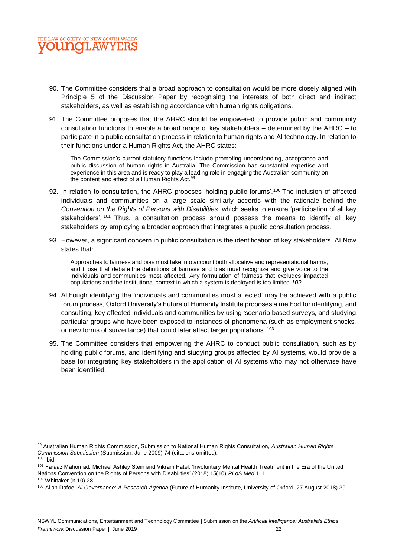

- 90. The Committee considers that a broad approach to consultation would be more closely aligned with Principle 5 of the Discussion Paper by recognising the interests of both direct and indirect stakeholders, as well as establishing accordance with human rights obligations.
- 91. The Committee proposes that the AHRC should be empowered to provide public and community consultation functions to enable a broad range of key stakeholders – determined by the AHRC – to participate in a public consultation process in relation to human rights and AI technology. In relation to their functions under a Human Rights Act, the AHRC states:

The Commission's current statutory functions include promoting understanding, acceptance and public discussion of human rights in Australia. The Commission has substantial expertise and experience in this area and is ready to play a leading role in engaging the Australian community on the content and effect of a Human Rights Act.<sup>99</sup>

- 92. In relation to consultation, the AHRC proposes 'holding public forums'.<sup>100</sup> The inclusion of affected individuals and communities on a large scale similarly accords with the rationale behind the *Convention on the Rights of Persons with Disabilities*, which seeks to ensure 'participation of all key stakeholders'.<sup>101</sup> Thus, a consultation process should possess the means to identify all key stakeholders by employing a broader approach that integrates a public consultation process.
- 93. However, a significant concern in public consultation is the identification of key stakeholders. AI Now states that:

Approaches to fairness and bias must take into account both allocative and representational harms, and those that debate the definitions of fairness and bias must recognize and give voice to the individuals and communities most affected. Any formulation of fairness that excludes impacted populations and the institutional context in which a system is deployed is too limited.*102*

- 94. Although identifying the 'individuals and communities most affected' may be achieved with a public forum process, Oxford University's Future of Humanity Institute proposes a method for identifying, and consulting, key affected individuals and communities by using 'scenario based surveys, and studying particular groups who have been exposed to instances of phenomena (such as employment shocks, or new forms of surveillance) that could later affect larger populations'.<sup>103</sup>
- 95. The Committee considers that empowering the AHRC to conduct public consultation, such as by holding public forums, and identifying and studying groups affected by AI systems, would provide a base for integrating key stakeholders in the application of AI systems who may not otherwise have been identified.

<sup>99</sup> Australian Human Rights Commission, Submission to National Human Rights Consultation, *Australian Human Rights Commission Submission* (Submission, June 2009) 74 (citations omitted).

 $100$  Ibid.

<sup>101</sup> Faraaz Mahomad, Michael Ashley Stein and Vikram Patel, 'Involuntary Mental Health Treatment in the Era of the United Nations Convention on the Rights of Persons with Disabilities' (2018) 15(10) *PLoS Med* 1, 1. <sup>102</sup> Whittaker (n 10) 28.

<sup>103</sup> Allan Dafoe, *AI Governance: A Research Agenda* (Future of Humanity Institute, University of Oxford, 27 August 2018) 39.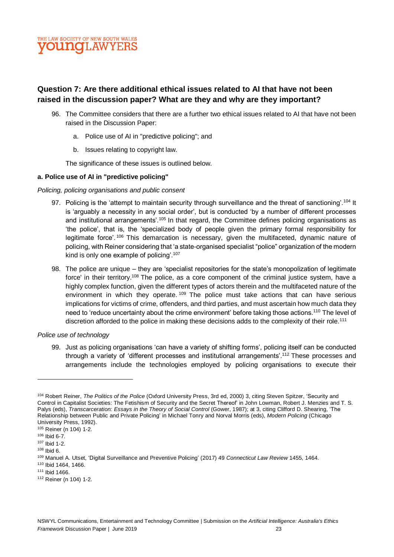

## **Question 7: Are there additional ethical issues related to AI that have not been raised in the discussion paper? What are they and why are they important?**

- 96. The Committee considers that there are a further two ethical issues related to AI that have not been raised in the Discussion Paper:
	- a. Police use of AI in "predictive policing"; and
	- b. Issues relating to copyright law.

The significance of these issues is outlined below.

## **a. Police use of AI in "predictive policing"**

## *Policing, policing organisations and public consent*

- 97. Policing is the 'attempt to maintain security through surveillance and the threat of sanctioning'.<sup>104</sup> It is 'arguably a necessity in any social order', but is conducted 'by a number of different processes and institutional arrangements'.<sup>105</sup> In that regard, the Committee defines policing organisations as 'the police', that is, the 'specialized body of people given the primary formal responsibility for legitimate force'.<sup>106</sup> This demarcation is necessary, given the multifaceted, dynamic nature of policing, with Reiner considering that 'a state-organised specialist "police" organization of the modern kind is only one example of policing'.<sup>107</sup>
- 98. The police are unique they are 'specialist repositories for the state's monopolization of legitimate force' in their territory.<sup>108</sup> The police, as a core component of the criminal justice system, have a highly complex function, given the different types of actors therein and the multifaceted nature of the environment in which they operate. <sup>109</sup> The police must take actions that can have serious implications for victims of crime, offenders, and third parties, and must ascertain how much data they need to 'reduce uncertainty about the crime environment' before taking those actions.<sup>110</sup> The level of discretion afforded to the police in making these decisions adds to the complexity of their role.<sup>111</sup>

## *Police use of technology*

99. Just as policing organisations 'can have a variety of shifting forms', policing itself can be conducted through a variety of 'different processes and institutional arrangements'.<sup>112</sup> These processes and arrangements include the technologies employed by policing organisations to execute their

<sup>112</sup> Reiner (n 104) 1-2.

<sup>104</sup> Robert Reiner, *The Politics of the Police* (Oxford University Press, 3rd ed, 2000) 3, citing Steven Spitzer, 'Security and Control in Capitalist Societies: The Fetishism of Security and the Secret Thereof' in John Lowman, Robert J. Menzies and T. S. Palys (eds), *Transcarceration: Essays in the Theory of Social Control* (Gower, 1987); at 3, citing Clifford D. Shearing, 'The Relationship between Public and Private Policing' in Michael Tonry and Norval Morris (eds), *Modern Policing* (Chicago University Press, 1992).

<sup>105</sup> Reiner (n 104) 1-2.

<sup>106</sup> Ibid 6-7.

<sup>107</sup> Ibid 1-2.

<sup>108</sup> Ibid 6.

<sup>109</sup> Manuel A. Utset, 'Digital Surveillance and Preventive Policing' (2017) 49 *Connecticut Law Review* 1455, 1464.

<sup>110</sup> Ibid 1464, 1466.

<sup>111</sup> Ibid 1466.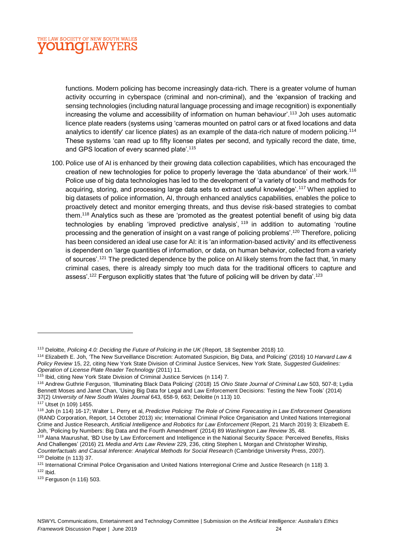

functions. Modern policing has become increasingly data-rich. There is a greater volume of human activity occurring in cyberspace (criminal and non-criminal), and the 'expansion of tracking and sensing technologies (including natural language processing and image recognition) is exponentially increasing the volume and accessibility of information on human behaviour'.<sup>113</sup> Joh uses automatic licence plate readers (systems using 'cameras mounted on patrol cars or at fixed locations and data analytics to identify' car licence plates) as an example of the data-rich nature of modern policing.<sup>114</sup> These systems 'can read up to fifty license plates per second, and typically record the date, time, and GPS location of every scanned plate'.<sup>115</sup>

100. Police use of AI is enhanced by their growing data collection capabilities, which has encouraged the creation of new technologies for police to properly leverage the 'data abundance' of their work.<sup>116</sup> Police use of big data technologies has led to the development of 'a variety of tools and methods for acquiring, storing, and processing large data sets to extract useful knowledge'.<sup>117</sup> When applied to big datasets of police information, AI, through enhanced analytics capabilities, enables the police to proactively detect and monitor emerging threats, and thus devise risk-based strategies to combat them.<sup>118</sup> Analytics such as these are 'promoted as the greatest potential benefit of using big data technologies by enabling 'improved predictive analysis', <sup>119</sup> in addition to automating 'routine processing and the generation of insight on a vast range of policing problems'.<sup>120</sup> Therefore, policing has been considered an ideal use case for AI: it is 'an information-based activity' and its effectiveness is dependent on 'large quantities of information, or data, on human behavior, collected from a variety of sources'.<sup>121</sup> The predicted dependence by the police on AI likely stems from the fact that, 'in many criminal cases, there is already simply too much data for the traditional officers to capture and assess'.<sup>122</sup> Ferguson explicitly states that 'the future of policing will be driven by data'.<sup>123</sup>

<sup>113</sup> Deloitte, *Policing 4.0: Deciding the Future of Policing in the UK* (Report, 18 September 2018) 10.

<sup>114</sup> Elizabeth E. Joh, 'The New Surveillance Discretion: Automated Suspicion, Big Data, and Policing' (2016) 10 *Harvard Law & Policy Review* 15, 22, citing New York State Division of Criminal Justice Services, New York State, *Suggested Guidelines: Operation of License Plate Reader Technology* (2011) 11.

<sup>115</sup> Ibid, citing New York State Division of Criminal Justice Services (n 114) 7.

<sup>116</sup> Andrew Guthrie Ferguson, 'Illuminating Black Data Policing' (2018) 15 *Ohio State Journal of Criminal Law* 503, 507-8; Lydia Bennett Moses and Janet Chan, 'Using Big Data for Legal and Law Enforcement Decisions: Testing the New Tools' (2014) 37(2) *University of New South Wales Journal* 643, 658-9, 663; Deloitte (n 113) 10.

<sup>117</sup> Utset (n 109) 1455.

<sup>118</sup> Joh (n 114) 16-17; Walter L. Perry et al, *Predictive Policing: The Role of Crime Forecasting in Law Enforcement Operations* (RAND Corporation, Report, 14 October 2013) xiv; International Criminal Police Organisation and United Nations Interregional Crime and Justice Research, *Artificial Intelligence and Robotics for Law Enforcement* (Report, 21 March 2019) 3; Elizabeth E. Joh, 'Policing by Numbers: Big Data and the Fourth Amendment' (2014) 89 *Washington Law Review* 35, 48.

<sup>119</sup> Alana Maurushat, 'BD Use by Law Enforcement and Intelligence in the National Security Space: Perceived Benefits, Risks And Challenges' (2016) 21 *Media and Arts Law Review* 229, 236, citing Stephen L Morgan and Christopher Winship, *Counterfactuals and Causal Inference: Analytical Methods for Social Research* (Cambridge University Press, 2007). <sup>120</sup> Deloitte (n 113) 37.

<sup>&</sup>lt;sup>121</sup> International Criminal Police Organisation and United Nations Interregional Crime and Justice Research (n 118) 3.  $122$  Ibid.

<sup>123</sup> Ferguson (n 116) 503.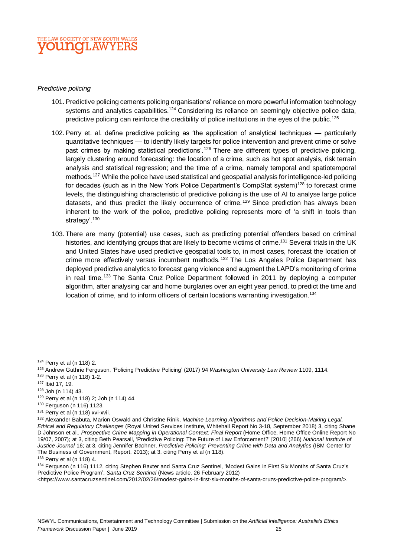

## *Predictive policing*

- 101. Predictive policing cements policing organisations' reliance on more powerful information technology systems and analytics capabilities.<sup>124</sup> Considering its reliance on seemingly objective police data, predictive policing can reinforce the credibility of police institutions in the eyes of the public.<sup>125</sup>
- 102. Perry et. al. define predictive policing as 'the application of analytical techniques particularly quantitative techniques — to identify likely targets for police intervention and prevent crime or solve past crimes by making statistical predictions'.<sup>126</sup> There are different types of predictive policing, largely clustering around forecasting: the location of a crime, such as hot spot analysis, risk terrain analysis and statistical regression; and the time of a crime, namely temporal and spatiotemporal methods.<sup>127</sup> While the police have used statistical and geospatial analysis for intelligence-led policing for decades (such as in the New York Police Department's CompStat system)<sup>128</sup> to forecast crime levels, the distinguishing characteristic of predictive policing is the use of AI to analyse large police datasets, and thus predict the likely occurrence of crime.<sup>129</sup> Since prediction has always been inherent to the work of the police, predictive policing represents more of 'a shift in tools than strategy'.<sup>130</sup>
- 103. There are many (potential) use cases, such as predicting potential offenders based on criminal histories, and identifying groups that are likely to become victims of crime.<sup>131</sup> Several trials in the UK and United States have used predictive geospatial tools to, in most cases, forecast the location of crime more effectively versus incumbent methods.<sup>132</sup> The Los Angeles Police Department has deployed predictive analytics to forecast gang violence and augment the LAPD's monitoring of crime in real time.<sup>133</sup> The Santa Cruz Police Department followed in 2011 by deploying a computer algorithm, after analysing car and home burglaries over an eight year period, to predict the time and location of crime, and to inform officers of certain locations warranting investigation.<sup>134</sup>

<sup>124</sup> Perry et al (n 118) 2.

<sup>125</sup> Andrew Guthrie Ferguson, 'Policing Predictive Policing' (2017) 94 *Washington University Law Review* 1109, 1114.

<sup>126</sup> Perry et al (n 118) 1-2.

<sup>127</sup> Ibid 17, 19.

<sup>128</sup> Joh (n 114) 43.

<sup>129</sup> Perry et al (n 118) 2; Joh (n 114) 44.

<sup>130</sup> Ferguson (n 116) 1123.

<sup>131</sup> Perry et al (n 118) xvi-xvii.

<sup>132</sup> Alexander Babuta, Marion Oswald and Christine Rinik, *Machine Learning Algorithms and Police Decision-Making Legal, Ethical and Regulatory Challenges* (Royal United Services Institute, Whitehall Report No 3-18, September 2018) 3, citing Shane D Johnson et al., *Prospective Crime Mapping in Operational Context: Final Report* (Home Office, Home Office Online Report No 19/07, 2007); at 3, citing Beth Pearsall, 'Predictive Policing: The Future of Law Enforcement?' [2010] (266) *National Institute of Justice Journal* 16; at 3, citing Jennifer Bachner, *Predictive Policing: Preventing Crime with Data and Analytics* (IBM Center for The Business of Government, Report, 2013); at 3, citing Perry et al (n 118).

<sup>133</sup> Perry et al (n 118) 4.

<sup>134</sup> Ferguson (n 116) 1112, citing Stephen Baxter and Santa Cruz Sentinel, 'Modest Gains in First Six Months of Santa Cruz's Predictive Police Program', *Santa Cruz Sentinel* (News article, 26 February 2012)

<sup>&</sup>lt;https://www.santacruzsentinel.com/2012/02/26/modest-gains-in-first-six-months-of-santa-cruzs-predictive-police-program/>.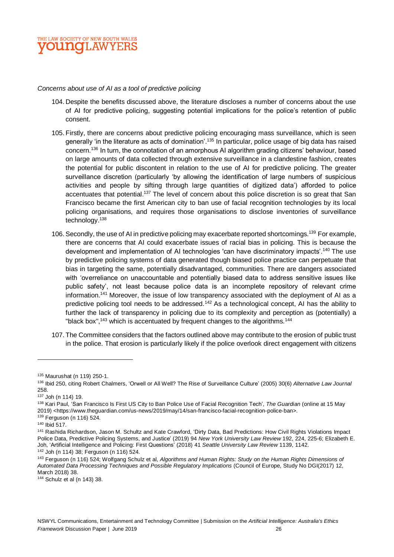

#### *Concerns about use of AI as a tool of predictive policing*

- 104. Despite the benefits discussed above, the literature discloses a number of concerns about the use of AI for predictive policing, suggesting potential implications for the police's retention of public consent.
- 105. Firstly, there are concerns about predictive policing encouraging mass surveillance, which is seen generally 'in the literature as acts of domination'.<sup>135</sup> In particular, police usage of big data has raised concern.<sup>136</sup> In turn, the connotation of an amorphous AI algorithm grading citizens' behaviour, based on large amounts of data collected through extensive surveillance in a clandestine fashion, creates the potential for public discontent in relation to the use of AI for predictive policing. The greater surveillance discretion (particularly 'by allowing the identification of large numbers of suspicious activities and people by sifting through large quantities of digitized data') afforded to police accentuates that potential.<sup>137</sup> The level of concern about this police discretion is so great that San Francisco became the first American city to ban use of facial recognition technologies by its local policing organisations, and requires those organisations to disclose inventories of surveillance technology.<sup>138</sup>
- 106. Secondly, the use of AI in predictive policing may exacerbate reported shortcomings.<sup>139</sup> For example, there are concerns that AI could exacerbate issues of racial bias in policing. This is because the development and implementation of AI technologies 'can have discriminatory impacts'.<sup>140</sup> The use by predictive policing systems of data generated though biased police practice can perpetuate that bias in targeting the same, potentially disadvantaged, communities. There are dangers associated with 'overreliance on unaccountable and potentially biased data to address sensitive issues like public safety', not least because police data is an incomplete repository of relevant crime information.<sup>141</sup> Moreover, the issue of low transparency associated with the deployment of AI as a predictive policing tool needs to be addressed.<sup>142</sup> As a technological concept, AI has the ability to further the lack of transparency in policing due to its complexity and perception as (potentially) a "black box",<sup>143</sup> which is accentuated by frequent changes to the algorithms.<sup>144</sup>
- 107. The Committee considers that the factors outlined above may contribute to the erosion of public trust in the police. That erosion is particularly likely if the police overlook direct engagement with citizens

<sup>135</sup> Maurushat (n 119) 250-1.

<sup>136</sup> Ibid 250, citing Robert Chalmers, 'Orwell or All Well? The Rise of Surveillance Culture' (2005) 30(6) *Alternative Law Journal* 258.

<sup>137</sup> Joh (n 114) 19.

<sup>138</sup> Kari Paul, 'San Francisco Is First US City to Ban Police Use of Facial Recognition Tech', *The Guardian* (online at 15 May 2019) <https://www.theguardian.com/us-news/2019/may/14/san-francisco-facial-recognition-police-ban>.

<sup>139</sup> Ferguson (n 116) 524.

<sup>140</sup> Ibid 517.

<sup>141</sup> Rashida Richardson, Jason M. Schultz and Kate Crawford, 'Dirty Data, Bad Predictions: How Civil Rights Violations Impact Police Data, Predictive Policing Systems, and Justice' (2019) 94 *New York University Law Review* 192, 224, 225-6; Elizabeth E. Joh, 'Artificial Intelligence and Policing: First Questions' (2018) 41 *Seattle University Law Review* 1139, 1142.

<sup>142</sup> Joh (n 114) 38; Ferguson (n 116) 524.

<sup>143</sup> Ferguson (n 116) 524; Wolfgang Schulz et al, *Algorithms and Human Rights: Study on the Human Rights Dimensions of Automated Data Processing Techniques and Possible Regulatory Implications* (Council of Europe, Study No DGI(2017) 12, March 2018) 38.

<sup>144</sup> Schulz et al (n 143) 38.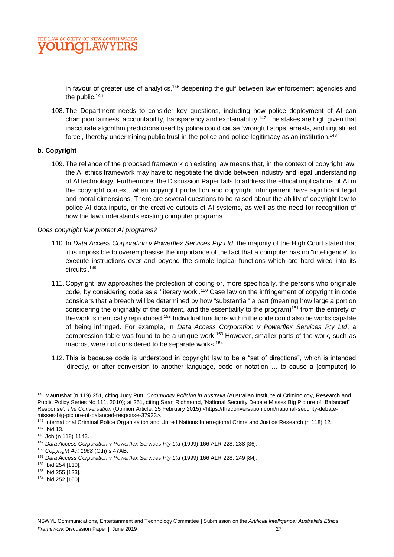in favour of greater use of analytics, $145$  deepening the gulf between law enforcement agencies and the public.<sup>146</sup>

108. The Department needs to consider key questions, including how police deployment of AI can champion fairness, accountability, transparency and explainability.<sup>147</sup> The stakes are high given that inaccurate algorithm predictions used by police could cause 'wrongful stops, arrests, and unjustified force', thereby undermining public trust in the police and police legitimacy as an institution.<sup>148</sup>

## **b. Copyright**

109. The reliance of the proposed framework on existing law means that, in the context of copyright law, the AI ethics framework may have to negotiate the divide between industry and legal understanding of AI technology. Furthermore, the Discussion Paper fails to address the ethical implications of AI in the copyright context, when copyright protection and copyright infringement have significant legal and moral dimensions. There are several questions to be raised about the ability of copyright law to police AI data inputs, or the creative outputs of AI systems, as well as the need for recognition of how the law understands existing computer programs.

## *Does copyright law protect AI programs?*

- 110. In *Data Access Corporation v Powerflex Services Pty Ltd*, the majority of the High Court stated that 'it is impossible to overemphasise the importance of the fact that a computer has no "intelligence" to execute instructions over and beyond the simple logical functions which are hard wired into its circuits'.<sup>149</sup>
- 111. Copyright law approaches the protection of coding or, more specifically, the persons who originate code, by considering code as a 'literary work'.<sup>150</sup> Case law on the infringement of copyright in code considers that a breach will be determined by how "substantial" a part (meaning how large a portion considering the originality of the content, and the essentiality to the program)<sup>151</sup> from the entirety of the work is identically reproduced.<sup>152</sup> Individual functions within the code could also be works capable of being infringed. For example, in *Data Access Corporation v Powerflex Services Pty Ltd*, a compression table was found to be a unique work.<sup>153</sup> However, smaller parts of the work, such as macros, were not considered to be separate works.<sup>154</sup>
- 112. This is because code is understood in copyright law to be a "set of directions", which is intended 'directly, or after conversion to another language, code or notation … to cause a [computer] to

<sup>145</sup> Maurushat (n 119) 251, citing Judy Putt, *Community Policing in Australia* (Australian Institute of Criminology, Research and Public Policy Series No 111, 2010); at 251, citing Sean Richmond, 'National Security Debate Misses Big Picture of "Balanced" Response', *The Conversation* (Opinion Article, 25 February 2015) <https://theconversation.com/national-security-debatemisses-big-picture-of-balanced-response-37923>.

<sup>&</sup>lt;sup>146</sup> International Criminal Police Organisation and United Nations Interregional Crime and Justice Research (n 118) 12.

<sup>147</sup> Ibid 13.

<sup>148</sup> Joh (n 118) 1143.

<sup>&</sup>lt;sup>149</sup> Data Access Corporation v Powerflex Services Pty Ltd (1999) 166 ALR 228, 238 [36].

<sup>150</sup> *Copyright Act 1968* (Cth) s 47AB.

<sup>151</sup> *Data Access Corporation v Powerflex Services Pty Ltd* (1999) 166 ALR 228, 249 [84].

<sup>152</sup> Ibid 254 [110].

<sup>153</sup> Ibid 255 [123].

<sup>154</sup> Ibid 252 [100].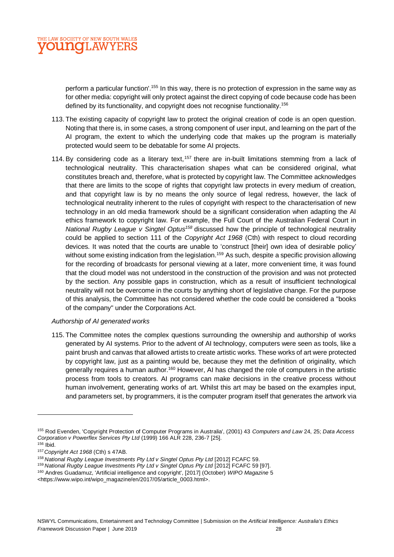

perform a particular function'.<sup>155</sup> In this way, there is no protection of expression in the same way as for other media: copyright will only protect against the direct copying of code because code has been defined by its functionality, and copyright does not recognise functionality.<sup>156</sup>

- 113. The existing capacity of copyright law to protect the original creation of code is an open question. Noting that there is, in some cases, a strong component of user input, and learning on the part of the AI program, the extent to which the underlying code that makes up the program is materially protected would seem to be debatable for some AI projects.
- 114. By considering code as a literary text,  $157$  there are in-built limitations stemming from a lack of technological neutrality. This characterisation shapes what can be considered original, what constitutes breach and, therefore, what is protected by copyright law. The Committee acknowledges that there are limits to the scope of rights that copyright law protects in every medium of creation, and that copyright law is by no means the only source of legal redress, however, the lack of technological neutrality inherent to the rules of copyright with respect to the characterisation of new technology in an old media framework should be a significant consideration when adapting the AI ethics framework to copyright law. For example, the Full Court of the Australian Federal Court in *National Rugby League v Singtel Optus<sup>158</sup>* discussed how the principle of technological neutrality could be applied to section 111 of the *Copyright Act 1968* (Cth) with respect to cloud recording devices. It was noted that the courts are unable to 'construct [their] own idea of desirable policy' without some existing indication from the legislation.<sup>159</sup> As such, despite a specific provision allowing for the recording of broadcasts for personal viewing at a later, more convenient time, it was found that the cloud model was not understood in the construction of the provision and was not protected by the section. Any possible gaps in construction, which as a result of insufficient technological neutrality will not be overcome in the courts by anything short of legislative change. For the purpose of this analysis, the Committee has not considered whether the code could be considered a "books of the company" under the Corporations Act.

## *Authorship of AI generated works*

115. The Committee notes the complex questions surrounding the ownership and authorship of works generated by AI systems. Prior to the advent of AI technology, computers were seen as tools, like a paint brush and canvas that allowed artists to create artistic works. These works of art were protected by copyright law, just as a painting would be, because they met the definition of originality, which generally requires a human author.<sup>160</sup> However, AI has changed the role of computers in the artistic process from tools to creators. AI programs can make decisions in the creative process without human involvement, generating works of art. Whilst this art may be based on the examples input, and parameters set, by programmers, it is the computer program itself that generates the artwork via

<sup>155</sup> Rod Evenden, 'Copyright Protection of Computer Programs in Australia', (2001) 43 *Computers and Law* 24, 25; *Data Access Corporation v Powerflex Services Pty Ltd* (1999) 166 ALR 228, 236-7 [25].

<sup>156</sup> Ibid.

<sup>157</sup>*Copyright Act 1968* (Cth) s 47AB.

<sup>158</sup> *National Rugby League Investments Pty Ltd v Singtel Optus Pty Ltd* [2012] FCAFC 59.

<sup>159</sup> *National Rugby League Investments Pty Ltd v Singtel Optus Pty Ltd* [2012] FCAFC 59 [97].

<sup>160</sup> Andres Guadamuz, 'Artificial intelligence and copyright', [2017] (October) *WIPO Magazine* 5 <https://www.wipo.int/wipo\_magazine/en/2017/05/article\_0003.html>.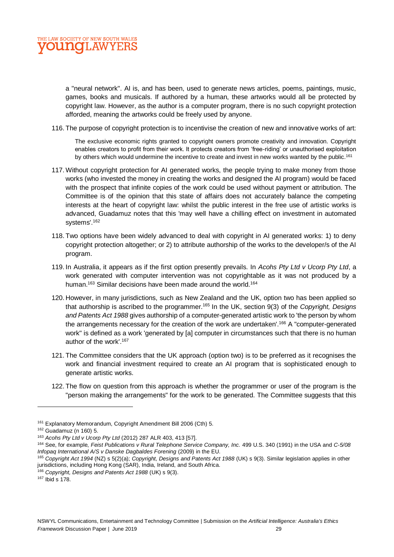

a "neural network". AI is, and has been, used to generate news articles, poems, paintings, music, games, books and musicals. If authored by a human, these artworks would all be protected by copyright law. However, as the author is a computer program, there is no such copyright protection afforded, meaning the artworks could be freely used by anyone.

116. The purpose of copyright protection is to incentivise the creation of new and innovative works of art:

The exclusive economic rights granted to copyright owners promote creativity and innovation. Copyright enables creators to profit from their work. It protects creators from 'free-riding' or unauthorised exploitation by others which would undermine the incentive to create and invest in new works wanted by the public.<sup>161</sup>

- 117. Without copyright protection for AI generated works, the people trying to make money from those works (who invested the money in creating the works and designed the AI program) would be faced with the prospect that infinite copies of the work could be used without payment or attribution. The Committee is of the opinion that this state of affairs does not accurately balance the competing interests at the heart of copyright law: whilst the public interest in the free use of artistic works is advanced, Guadamuz notes that this 'may well have a chilling effect on investment in automated systems'.<sup>162</sup>
- 118. Two options have been widely advanced to deal with copyright in AI generated works: 1) to deny copyright protection altogether; or 2) to attribute authorship of the works to the developer/s of the AI program.
- 119. In Australia, it appears as if the first option presently prevails. In *Acohs Pty Ltd v Ucorp Pty Ltd*, a work generated with computer intervention was not copyrightable as it was not produced by a human.<sup>163</sup> Similar decisions have been made around the world.<sup>164</sup>
- 120. However, in many jurisdictions, such as New Zealand and the UK, option two has been applied so that authorship is ascribed to the programmer.<sup>165</sup> In the UK, section 9(3) of the *Copyright, Designs and Patents Act 1988* gives authorship of a computer-generated artistic work to 'the person by whom the arrangements necessary for the creation of the work are undertaken'.<sup>166</sup> A "computer-generated work" is defined as a work 'generated by [a] computer in circumstances such that there is no human author of the work'.<sup>167</sup>
- 121. The Committee considers that the UK approach (option two) is to be preferred as it recognises the work and financial investment required to create an AI program that is sophisticated enough to generate artistic works.
- 122. The flow on question from this approach is whether the programmer or user of the program is the "person making the arrangements" for the work to be generated. The Committee suggests that this

<sup>161</sup> Explanatory Memorandum, Copyright Amendment Bill 2006 (Cth) 5.

<sup>162</sup> Guadamuz (n 160) 5.

<sup>163</sup> *Acohs Pty Ltd v Ucorp Pty Ltd* (2012) 287 ALR 403, 413 [57].

<sup>164</sup> See, for example, *Feist Publications v Rural Telephone Service Company, Inc.* 499 U.S. 340 (1991) in the USA and *C-5/08 Infopaq International A/S v Danske Dagbaldes Forening* (2009) in the EU.

<sup>165</sup> *Copyright Act 1994* (NZ) s 5(2)(a); *Copyright, Designs and Patents Act 1988* (UK) s 9(3). Similar legislation applies in other jurisdictions, including Hong Kong (SAR), India, Ireland, and South Africa.

<sup>166</sup> *Copyright, Designs and Patents Act 1988* (UK) s 9(3).

<sup>167</sup> Ibid s 178.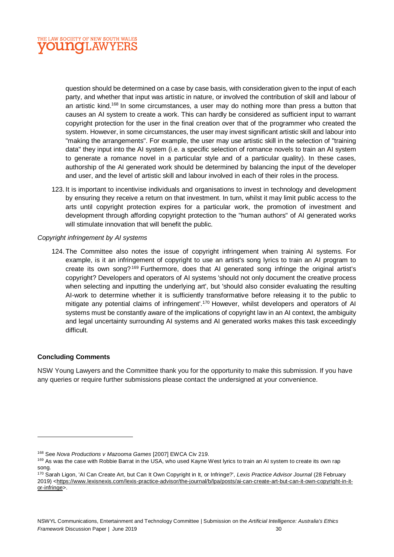

question should be determined on a case by case basis, with consideration given to the input of each party, and whether that input was artistic in nature, or involved the contribution of skill and labour of an artistic kind.<sup>168</sup> In some circumstances, a user may do nothing more than press a button that causes an AI system to create a work. This can hardly be considered as sufficient input to warrant copyright protection for the user in the final creation over that of the programmer who created the system. However, in some circumstances, the user may invest significant artistic skill and labour into "making the arrangements". For example, the user may use artistic skill in the selection of "training data" they input into the AI system (i.e. a specific selection of romance novels to train an AI system to generate a romance novel in a particular style and of a particular quality). In these cases, authorship of the AI generated work should be determined by balancing the input of the developer and user, and the level of artistic skill and labour involved in each of their roles in the process.

123. It is important to incentivise individuals and organisations to invest in technology and development by ensuring they receive a return on that investment. In turn, whilst it may limit public access to the arts until copyright protection expires for a particular work, the promotion of investment and development through affording copyright protection to the "human authors" of AI generated works will stimulate innovation that will benefit the public.

## *Copyright infringement by AI systems*

124. The Committee also notes the issue of copyright infringement when training AI systems. For example, is it an infringement of copyright to use an artist's song lyrics to train an AI program to create its own song?<sup>169</sup> Furthermore, does that AI generated song infringe the original artist's copyright? Developers and operators of AI systems 'should not only document the creative process when selecting and inputting the underlying art', but 'should also consider evaluating the resulting AI-work to determine whether it is sufficiently transformative before releasing it to the public to mitigate any potential claims of infringement'.<sup>170</sup> However, whilst developers and operators of AI systems must be constantly aware of the implications of copyright law in an AI context, the ambiguity and legal uncertainty surrounding AI systems and AI generated works makes this task exceedingly difficult.

## **Concluding Comments**

 $\overline{a}$ 

NSW Young Lawyers and the Committee thank you for the opportunity to make this submission. If you have any queries or require further submissions please contact the undersigned at your convenience.

<sup>168</sup> See *Nova Productions v Mazooma Games* [2007] EWCA Civ 219.

<sup>&</sup>lt;sup>169</sup> As was the case with Robbie Barrat in the USA, who used Kayne West lyrics to train an AI system to create its own rap song.

<sup>170</sup> Sarah Ligon, 'AI Can Create Art, but Can It Own Copyright in It, or Infringe?', *Lexis Practice Advisor Journal* (28 February 2019) [<https://www.lexisnexis.com/lexis-practice-advisor/the-journal/b/lpa/posts/ai-can-create-art-but-can-it-own-copyright-in-it](https://www.lexisnexis.com/lexis-practice-advisor/the-journal/b/lpa/posts/ai-can-create-art-but-can-it-own-copyright-in-it-or-infringe)[or-infringe>](https://www.lexisnexis.com/lexis-practice-advisor/the-journal/b/lpa/posts/ai-can-create-art-but-can-it-own-copyright-in-it-or-infringe).